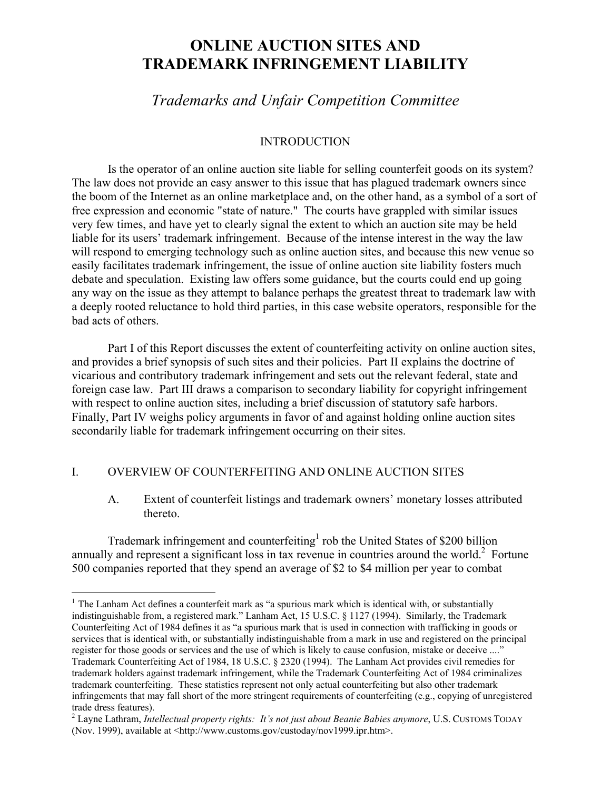# **ONLINE AUCTION SITES AND TRADEMARK INFRINGEMENT LIABILITY**

# *Trademarks and Unfair Competition Committee*

# INTRODUCTION

 Is the operator of an online auction site liable for selling counterfeit goods on its system? The law does not provide an easy answer to this issue that has plagued trademark owners since the boom of the Internet as an online marketplace and, on the other hand, as a symbol of a sort of free expression and economic "state of nature." The courts have grappled with similar issues very few times, and have yet to clearly signal the extent to which an auction site may be held liable for its users' trademark infringement. Because of the intense interest in the way the law will respond to emerging technology such as online auction sites, and because this new venue so easily facilitates trademark infringement, the issue of online auction site liability fosters much debate and speculation. Existing law offers some guidance, but the courts could end up going any way on the issue as they attempt to balance perhaps the greatest threat to trademark law with a deeply rooted reluctance to hold third parties, in this case website operators, responsible for the bad acts of others.

 Part I of this Report discusses the extent of counterfeiting activity on online auction sites, and provides a brief synopsis of such sites and their policies. Part II explains the doctrine of vicarious and contributory trademark infringement and sets out the relevant federal, state and foreign case law. Part III draws a comparison to secondary liability for copyright infringement with respect to online auction sites, including a brief discussion of statutory safe harbors. Finally, Part IV weighs policy arguments in favor of and against holding online auction sites secondarily liable for trademark infringement occurring on their sites.

# I. OVERVIEW OF COUNTERFEITING AND ONLINE AUCTION SITES

 $\overline{a}$ 

A. Extent of counterfeit listings and trademark owners' monetary losses attributed thereto.

Trademark infringement and counterfeiting<sup>1</sup> rob the United States of \$200 billion annually and represent a significant loss in tax revenue in countries around the world. $2$  Fortune 500 companies reported that they spend an average of \$2 to \$4 million per year to combat

 $1$  The Lanham Act defines a counterfeit mark as "a spurious mark which is identical with, or substantially indistinguishable from, a registered mark." Lanham Act, 15 U.S.C. § 1127 (1994). Similarly, the Trademark Counterfeiting Act of 1984 defines it as "a spurious mark that is used in connection with trafficking in goods or services that is identical with, or substantially indistinguishable from a mark in use and registered on the principal register for those goods or services and the use of which is likely to cause confusion, mistake or deceive ...." Trademark Counterfeiting Act of 1984, 18 U.S.C. § 2320 (1994). The Lanham Act provides civil remedies for trademark holders against trademark infringement, while the Trademark Counterfeiting Act of 1984 criminalizes trademark counterfeiting. These statistics represent not only actual counterfeiting but also other trademark infringements that may fall short of the more stringent requirements of counterfeiting (e.g., copying of unregistered trade dress features).

<sup>2</sup> Layne Lathram, *Intellectual property rights: It's not just about Beanie Babies anymore*, U.S. CUSTOMS TODAY (Nov. 1999), available at <http://www.customs.gov/custoday/nov1999.ipr.htm>.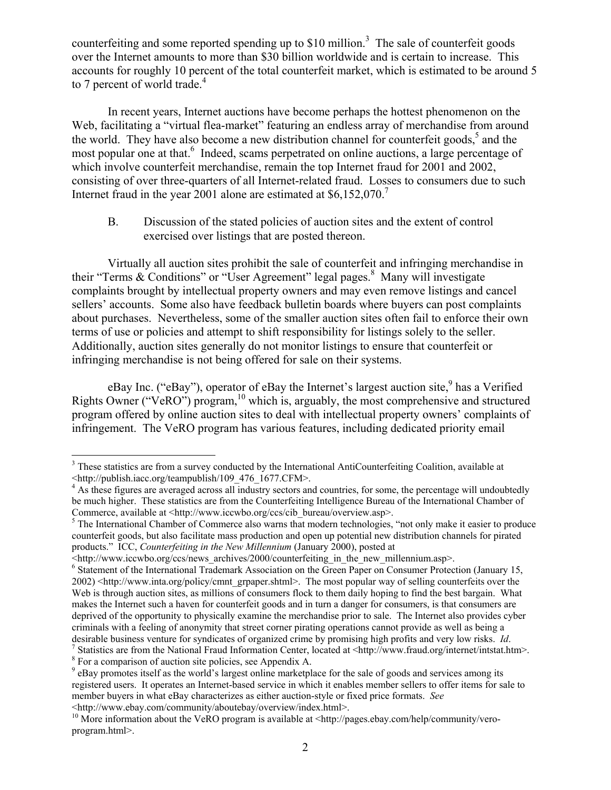counterfeiting and some reported spending up to  $$10$  million.<sup>3</sup> The sale of counterfeit goods over the Internet amounts to more than \$30 billion worldwide and is certain to increase. This accounts for roughly 10 percent of the total counterfeit market, which is estimated to be around 5 to 7 percent of world trade.<sup>4</sup>

In recent years, Internet auctions have become perhaps the hottest phenomenon on the Web, facilitating a "virtual flea-market" featuring an endless array of merchandise from around the world. They have also become a new distribution channel for counterfeit goods,<sup>5</sup> and the most popular one at that.<sup>6</sup> Indeed, scams perpetrated on online auctions, a large percentage of which involve counterfeit merchandise, remain the top Internet fraud for 2001 and 2002, consisting of over three-quarters of all Internet-related fraud. Losses to consumers due to such Internet fraud in the year 2001 alone are estimated at \$6,152,070.<sup>7</sup>

B. Discussion of the stated policies of auction sites and the extent of control exercised over listings that are posted thereon.

Virtually all auction sites prohibit the sale of counterfeit and infringing merchandise in their "Terms & Conditions" or "User Agreement" legal pages.<sup>8</sup> Many will investigate complaints brought by intellectual property owners and may even remove listings and cancel sellers' accounts. Some also have feedback bulletin boards where buyers can post complaints about purchases. Nevertheless, some of the smaller auction sites often fail to enforce their own terms of use or policies and attempt to shift responsibility for listings solely to the seller. Additionally, auction sites generally do not monitor listings to ensure that counterfeit or infringing merchandise is not being offered for sale on their systems.

eBay Inc. ("eBay"), operator of eBay the Internet's largest auction site, has a Verified Rights Owner ("VeRO") program,<sup>10</sup> which is, arguably, the most comprehensive and structured program offered by online auction sites to deal with intellectual property owners' complaints of infringement. The VeRO program has various features, including dedicated priority email

<sup>&</sup>lt;sup>3</sup> These statistics are from a survey conducted by the International AntiCounterfeiting Coalition, available at <http://publish.iacc.org/teampublish/109\_476\_1677.CFM>. 4

<sup>&</sup>lt;sup>4</sup> As these figures are averaged across all industry sectors and countries, for some, the percentage will undoubtedly be much higher. These statistics are from the Counterfeiting Intelligence Bureau of the International Chamber of Commerce, available at <http://www.iccwbo.org/ccs/cib\_bureau/overview.asp>.

<sup>&</sup>lt;sup>5</sup> The International Chamber of Commerce also warns that modern technologies, "not only make it easier to produce counterfeit goods, but also facilitate mass production and open up potential new distribution channels for pirated products." ICC, *Counterfeiting in the New Millennium* (January 2000), posted at

<sup>&</sup>lt;http://www.iccwbo.org/ccs/news\_archives/2000/counterfeiting\_in\_the\_new\_millennium.asp>. 6

<sup>&</sup>lt;sup>6</sup> Statement of the International Trademark Association on the Green Paper on Consumer Protection (January 15, 2002) <http://www.inta.org/policy/cmnt\_grpaper.shtml>. The most popular way of selling counterfeits over the Web is through auction sites, as millions of consumers flock to them daily hoping to find the best bargain. What makes the Internet such a haven for counterfeit goods and in turn a danger for consumers, is that consumers are deprived of the opportunity to physically examine the merchandise prior to sale. The Internet also provides cyber criminals with a feeling of anonymity that street corner pirating operations cannot provide as well as being a desirable business venture for syndicates of organized crime by promising high profits and very low risks. *Id*. 7 <sup>7</sup> Statistics are from the National Fraud Information Center, located at  $\langle$ http://www.fraud.org/internet/intstat.htm>.

<sup>&</sup>lt;sup>8</sup> For a comparison of auction site policies, see Appendix A.

<sup>&</sup>lt;sup>9</sup> eBay promotes itself as the world's largest online marketplace for the sale of goods and services among its registered users. It operates an Internet-based service in which it enables member sellers to offer items for sale to member buyers in what eBay characterizes as either auction-style or fixed price formats. *See*

<sup>&</sup>lt;http://www.ebay.com/community/aboutebay/overview/index.html>. 10 More information about the VeRO program is available at <http://pages.ebay.com/help/community/veroprogram.html>.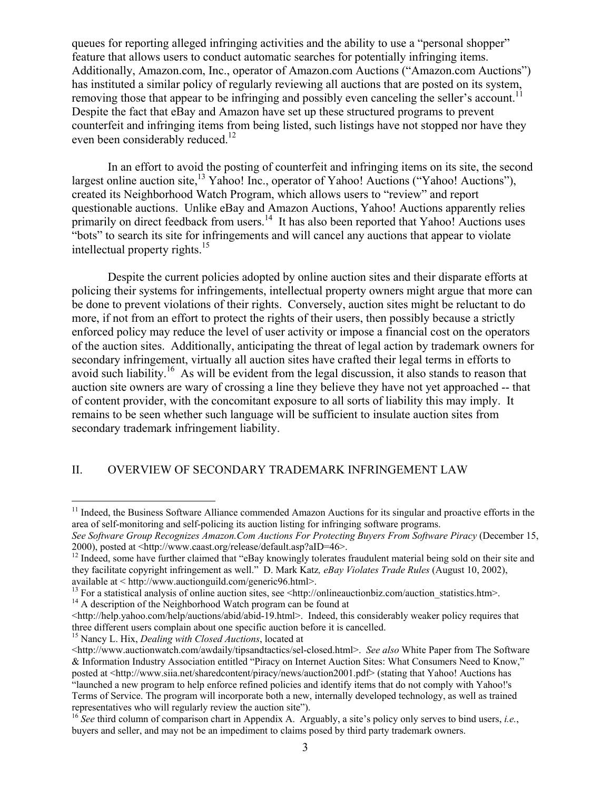queues for reporting alleged infringing activities and the ability to use a "personal shopper" feature that allows users to conduct automatic searches for potentially infringing items. Additionally, Amazon.com, Inc., operator of Amazon.com Auctions ("Amazon.com Auctions") has instituted a similar policy of regularly reviewing all auctions that are posted on its system, removing those that appear to be infringing and possibly even canceling the seller's account.<sup>11</sup> Despite the fact that eBay and Amazon have set up these structured programs to prevent counterfeit and infringing items from being listed, such listings have not stopped nor have they even been considerably reduced.<sup>12</sup>

In an effort to avoid the posting of counterfeit and infringing items on its site, the second largest online auction site,<sup>13</sup> Yahoo! Inc., operator of Yahoo! Auctions ("Yahoo! Auctions"), created its Neighborhood Watch Program, which allows users to "review" and report questionable auctions. Unlike eBay and Amazon Auctions, Yahoo! Auctions apparently relies primarily on direct feedback from users.<sup>14</sup> It has also been reported that Yahoo! Auctions uses "bots" to search its site for infringements and will cancel any auctions that appear to violate intellectual property rights.<sup>15</sup>

 Despite the current policies adopted by online auction sites and their disparate efforts at policing their systems for infringements, intellectual property owners might argue that more can be done to prevent violations of their rights. Conversely, auction sites might be reluctant to do more, if not from an effort to protect the rights of their users, then possibly because a strictly enforced policy may reduce the level of user activity or impose a financial cost on the operators of the auction sites. Additionally, anticipating the threat of legal action by trademark owners for secondary infringement, virtually all auction sites have crafted their legal terms in efforts to avoid such liability.16 As will be evident from the legal discussion, it also stands to reason that auction site owners are wary of crossing a line they believe they have not yet approached -- that of content provider, with the concomitant exposure to all sorts of liability this may imply. It remains to be seen whether such language will be sufficient to insulate auction sites from secondary trademark infringement liability.

# II. OVERVIEW OF SECONDARY TRADEMARK INFRINGEMENT LAW

1

<sup>&</sup>lt;sup>11</sup> Indeed, the Business Software Alliance commended Amazon Auctions for its singular and proactive efforts in the area of self-monitoring and self-policing its auction listing for infringing software programs.

*See Software Group Recognizes Amazon.Com Auctions For Protecting Buyers From Software Piracy* (December 15, 2000), posted at <http://www.caast.org/release/default.asp?aID=46>.<br><sup>12</sup> Indeed, some have further claimed that "eBay knowingly tolerates fraudulent material being sold on their site and

they facilitate copyright infringement as well." D. Mark Katz*, eBay Violates Trade Rules* (August 10, 2002), available at < http://www.auctionguild.com/generic96.html>.

<sup>&</sup>lt;sup>13</sup> For a statistical analysis of online auction sites, see  $\lt$ http://onlineauctionbiz.com/auction\_statistics.htm>. <sup>14</sup> A description of the Neighborhood Watch program can be found at

 $\text{Khttp://help.vahoo.com/help/autions/abid/abid-19.html}$ . Indeed, this considerably weaker policy requires that three different users complain about one specific auction before it is cancelled. 15 Nancy L. Hix, *Dealing with Closed Auctions*, located at

<sup>&</sup>lt;http://www.auctionwatch.com/awdaily/tipsandtactics/sel-closed.html>. *See also* White Paper from The Software & Information Industry Association entitled "Piracy on Internet Auction Sites: What Consumers Need to Know," posted at <http://www.siia.net/sharedcontent/piracy/news/auction2001.pdf> (stating that Yahoo! Auctions has "launched a new program to help enforce refined policies and identify items that do not comply with Yahoo!'s Terms of Service. The program will incorporate both a new, internally developed technology, as well as trained

<sup>&</sup>lt;sup>16</sup> *See* third column of comparison chart in Appendix A. Arguably, a site's policy only serves to bind users, *i.e.*, buyers and seller, and may not be an impediment to claims posed by third party trademark owners.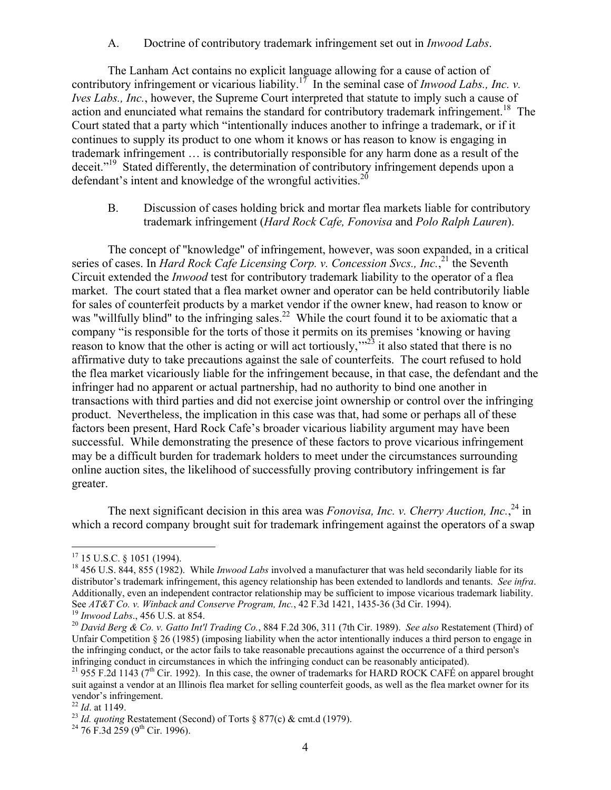A. Doctrine of contributory trademark infringement set out in *Inwood Labs*.

The Lanham Act contains no explicit language allowing for a cause of action of contributory infringement or vicarious liability.<sup>17</sup> In the seminal case of *Inwood Labs., Inc. v. Ives Labs., Inc.*, however, the Supreme Court interpreted that statute to imply such a cause of action and enunciated what remains the standard for contributory trademark infringement.<sup>18</sup> The Court stated that a party which "intentionally induces another to infringe a trademark, or if it continues to supply its product to one whom it knows or has reason to know is engaging in trademark infringement … is contributorially responsible for any harm done as a result of the deceit."<sup>19</sup> Stated differently, the determination of contributory infringement depends upon a defendant's intent and knowledge of the wrongful activities.<sup>20</sup>

B. Discussion of cases holding brick and mortar flea markets liable for contributory trademark infringement (*Hard Rock Cafe, Fonovisa* and *Polo Ralph Lauren*).

 The concept of "knowledge" of infringement, however, was soon expanded, in a critical series of cases. In *Hard Rock Cafe Licensing Corp. v. Concession Svcs., Inc.*<sup>21</sup> the Seventh Circuit extended the *Inwood* test for contributory trademark liability to the operator of a flea market. The court stated that a flea market owner and operator can be held contributorily liable for sales of counterfeit products by a market vendor if the owner knew, had reason to know or was "willfully blind" to the infringing sales.<sup>22</sup> While the court found it to be axiomatic that a company "is responsible for the torts of those it permits on its premises 'knowing or having reason to know that the other is acting or will act tortiously,"<sup>23</sup> it also stated that there is no affirmative duty to take precautions against the sale of counterfeits. The court refused to hold the flea market vicariously liable for the infringement because, in that case, the defendant and the infringer had no apparent or actual partnership, had no authority to bind one another in transactions with third parties and did not exercise joint ownership or control over the infringing product. Nevertheless, the implication in this case was that, had some or perhaps all of these factors been present, Hard Rock Cafe's broader vicarious liability argument may have been successful. While demonstrating the presence of these factors to prove vicarious infringement may be a difficult burden for trademark holders to meet under the circumstances surrounding online auction sites, the likelihood of successfully proving contributory infringement is far greater.

The next significant decision in this area was *Fonovisa, Inc. v. Cherry Auction, Inc.*<sup>24</sup> in which a record company brought suit for trademark infringement against the operators of a swap

1

 $17$  15 U.S.C. § 1051 (1994).

<sup>&</sup>lt;sup>18</sup> 456 U.S. 844, 855 (1982). While *Inwood Labs* involved a manufacturer that was held secondarily liable for its distributor's trademark infringement, this agency relationship has been extended to landlords and tenants. *See infra*. Additionally, even an independent contractor relationship may be sufficient to impose vicarious trademark liability.<br>See AT&T Co. v. Winback and Conserve Program, Inc., 42 F.3d 1421, 1435-36 (3d Cir. 1994).

<sup>&</sup>lt;sup>19</sup> Inwood Labs., 456 U.S. at 854.<br><sup>20</sup> David Berg & Co. v. Gatto Int'l Trading Co., 884 F.2d 306, 311 (7th Cir. 1989). See also Restatement (Third) of Unfair Competition § 26 (1985) (imposing liability when the actor intentionally induces a third person to engage in the infringing conduct, or the actor fails to take reasonable precautions against the occurrence of a third person's infringing conduct in circumstances in which the infringing conduct can be reasonably anticipated).<br><sup>21</sup> 955 F.2d 1143 (7<sup>th</sup> Cir. 1992). In this case, the owner of trademarks for HARD ROCK CAFÉ on apparel brought

suit against a vendor at an Illinois flea market for selling counterfeit goods, as well as the flea market owner for its vendor's infringement.<br> $^{22}$  *Id.* at 1149.

<sup>&</sup>lt;sup>23</sup> *Id. quoting* Restatement (Second) of Torts § 877(c) & cmt.d (1979).<br><sup>24</sup> 76 F.3d 259 (9<sup>th</sup> Cir. 1996).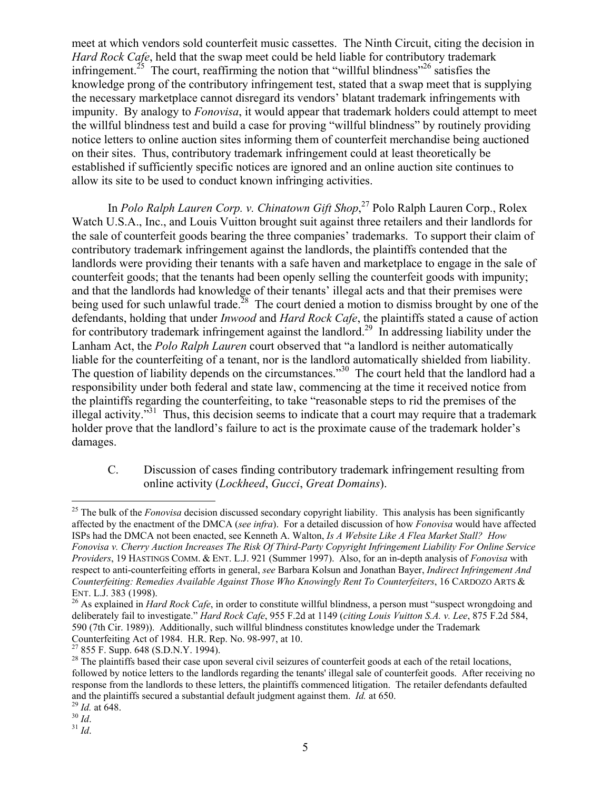meet at which vendors sold counterfeit music cassettes. The Ninth Circuit, citing the decision in *Hard Rock Cafe*, held that the swap meet could be held liable for contributory trademark infringement.<sup>25</sup> The court, reaffirming the notion that "willful blindness"<sup>26</sup> satisfies the knowledge prong of the contributory infringement test, stated that a swap meet that is supplying the necessary marketplace cannot disregard its vendors' blatant trademark infringements with impunity. By analogy to *Fonovisa*, it would appear that trademark holders could attempt to meet the willful blindness test and build a case for proving "willful blindness" by routinely providing notice letters to online auction sites informing them of counterfeit merchandise being auctioned on their sites. Thus, contributory trademark infringement could at least theoretically be established if sufficiently specific notices are ignored and an online auction site continues to allow its site to be used to conduct known infringing activities.

In *Polo Ralph Lauren Corp. v. Chinatown Gift Shop*, 27 Polo Ralph Lauren Corp., Rolex Watch U.S.A., Inc., and Louis Vuitton brought suit against three retailers and their landlords for the sale of counterfeit goods bearing the three companies' trademarks. To support their claim of contributory trademark infringement against the landlords, the plaintiffs contended that the landlords were providing their tenants with a safe haven and marketplace to engage in the sale of counterfeit goods; that the tenants had been openly selling the counterfeit goods with impunity; and that the landlords had knowledge of their tenants' illegal acts and that their premises were being used for such unlawful trade.<sup>28</sup> The court denied a motion to dismiss brought by one of the defendants, holding that under *Inwood* and *Hard Rock Cafe*, the plaintiffs stated a cause of action for contributory trademark infringement against the landlord.<sup>29</sup> In addressing liability under the Lanham Act, the *Polo Ralph Lauren* court observed that "a landlord is neither automatically liable for the counterfeiting of a tenant, nor is the landlord automatically shielded from liability. The question of liability depends on the circumstances."<sup>30</sup> The court held that the landlord had a responsibility under both federal and state law, commencing at the time it received notice from the plaintiffs regarding the counterfeiting, to take "reasonable steps to rid the premises of the illegal activity. $\mathbf{r}^{31}$  Thus, this decision seems to indicate that a court may require that a trademark holder prove that the landlord's failure to act is the proximate cause of the trademark holder's damages.

C. Discussion of cases finding contributory trademark infringement resulting from online activity (*Lockheed*, *Gucci*, *Great Domains*).

<sup>&</sup>lt;sup>25</sup> The bulk of the *Fonovisa* decision discussed secondary copyright liability. This analysis has been significantly affected by the enactment of the DMCA (*see infra*). For a detailed discussion of how *Fonovisa* would have affected ISPs had the DMCA not been enacted, see Kenneth A. Walton, *Is A Website Like A Flea Market Stall? How Fonovisa v. Cherry Auction Increases The Risk Of Third-Party Copyright Infringement Liability For Online Service Providers*, 19 HASTINGS COMM. & ENT. L.J. 921 (Summer 1997). Also, for an in-depth analysis of *Fonovisa* with respect to anti-counterfeiting efforts in general, *see* Barbara Kolsun and Jonathan Bayer, *Indirect Infringement And Counterfeiting: Remedies Available Against Those Who Knowingly Rent To Counterfeiters*, 16 CARDOZO ARTS & ENT. L.J. 383 (1998).<br><sup>26</sup> As explained in *Hard Rock Cafe*, in order to constitute willful blindness, a person must "suspect wrongdoing and

deliberately fail to investigate." *Hard Rock Cafe*, 955 F.2d at 1149 (*citing Louis Vuitton S.A. v. Lee*, 875 F.2d 584, 590 (7th Cir. 1989)). Additionally, such willful blindness constitutes knowledge under the Trademark Counterfeiting Act of 1984. H.R. Rep. No. 98-997, at 10.

<sup>27 855</sup> F. Supp. 648 (S.D.N.Y. 1994).

<sup>&</sup>lt;sup>28</sup> The plaintiffs based their case upon several civil seizures of counterfeit goods at each of the retail locations, followed by notice letters to the landlords regarding the tenants' illegal sale of counterfeit goods. After receiving no response from the landlords to these letters, the plaintiffs commenced litigation. The retailer defendants defaulted and the plaintiffs secured a substantial default judgment against them. *Id.* at 650. <sup>29</sup> *Id.* at 648. <sup>30</sup> *Id.* <sup>31</sup> *Id*.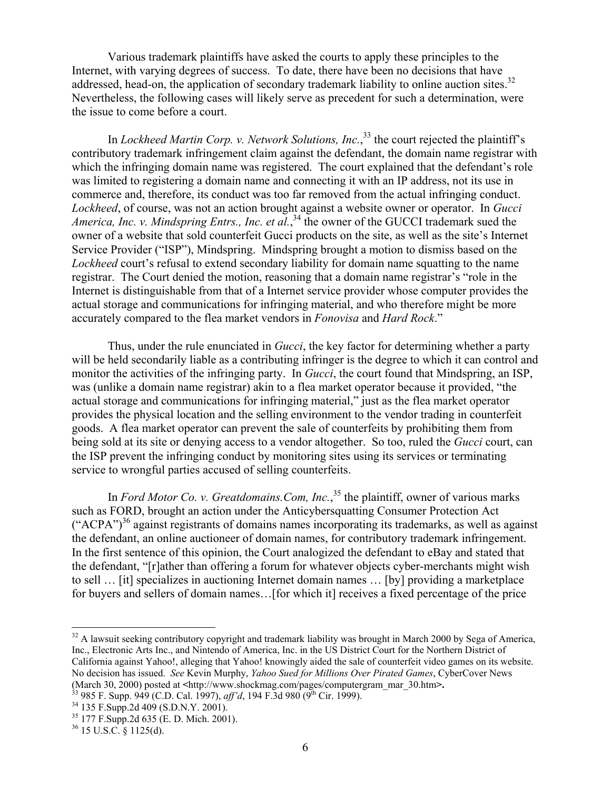Various trademark plaintiffs have asked the courts to apply these principles to the Internet, with varying degrees of success. To date, there have been no decisions that have addressed, head-on, the application of secondary trademark liability to online auction sites.<sup>32</sup> Nevertheless, the following cases will likely serve as precedent for such a determination, were the issue to come before a court.

In *Lockheed Martin Corp. v. Network Solutions, Inc.*, 33 the court rejected the plaintiff's contributory trademark infringement claim against the defendant, the domain name registrar with which the infringing domain name was registered. The court explained that the defendant's role was limited to registering a domain name and connecting it with an IP address, not its use in commerce and, therefore, its conduct was too far removed from the actual infringing conduct. *Lockheed*, of course, was not an action brought against a website owner or operator. In *Gucci*  America, Inc. v. Mindspring Entrs., Inc. et al.,<sup>34</sup> the owner of the GUCCI trademark sued the owner of a website that sold counterfeit Gucci products on the site, as well as the site's Internet Service Provider ("ISP"), Mindspring. Mindspring brought a motion to dismiss based on the *Lockheed* court's refusal to extend secondary liability for domain name squatting to the name registrar. The Court denied the motion, reasoning that a domain name registrar's "role in the Internet is distinguishable from that of a Internet service provider whose computer provides the actual storage and communications for infringing material, and who therefore might be more accurately compared to the flea market vendors in *Fonovisa* and *Hard Rock*."

Thus, under the rule enunciated in *Gucci*, the key factor for determining whether a party will be held secondarily liable as a contributing infringer is the degree to which it can control and monitor the activities of the infringing party. In *Gucci*, the court found that Mindspring, an ISP, was (unlike a domain name registrar) akin to a flea market operator because it provided, "the actual storage and communications for infringing material," just as the flea market operator provides the physical location and the selling environment to the vendor trading in counterfeit goods. A flea market operator can prevent the sale of counterfeits by prohibiting them from being sold at its site or denying access to a vendor altogether. So too, ruled the *Gucci* court, can the ISP prevent the infringing conduct by monitoring sites using its services or terminating service to wrongful parties accused of selling counterfeits.

In *Ford Motor Co. v. Greatdomains.Com, Inc.*, 35 the plaintiff, owner of various marks such as FORD, brought an action under the Anticybersquatting Consumer Protection Act  $({\rm "ACPA")}^{36}$  against registrants of domains names incorporating its trademarks, as well as against the defendant, an online auctioneer of domain names, for contributory trademark infringement. In the first sentence of this opinion, the Court analogized the defendant to eBay and stated that the defendant, "[r]ather than offering a forum for whatever objects cyber-merchants might wish to sell … [it] specializes in auctioning Internet domain names … [by] providing a marketplace for buyers and sellers of domain names…[for which it] receives a fixed percentage of the price

1

 $32$  A lawsuit seeking contributory copyright and trademark liability was brought in March 2000 by Sega of America, Inc., Electronic Arts Inc., and Nintendo of America, Inc. in the US District Court for the Northern District of California against Yahoo!, alleging that Yahoo! knowingly aided the sale of counterfeit video games on its website. No decision has issued. *See* Kevin Murphy, *Yahoo Sued for Millions Over Pirated Games*, CyberCover News (March 30, 2000) posted at <http://www.shockmag.com/pages/computergram\_mar\_30.htm>.<br><sup>33</sup> 985 F. Supp. 949 (C.D. Cal. 1997), *aff'd*, 194 F.3d 980 (9<sup>th</sup> Cir. 1999).<br><sup>34</sup> 135 F.Supp.2d 409 (S.D.N.Y. 2001).

<sup>35 177</sup> F.Supp.2d 635 (E. D. Mich. 2001).

 $36$  15 U.S.C. § 1125(d).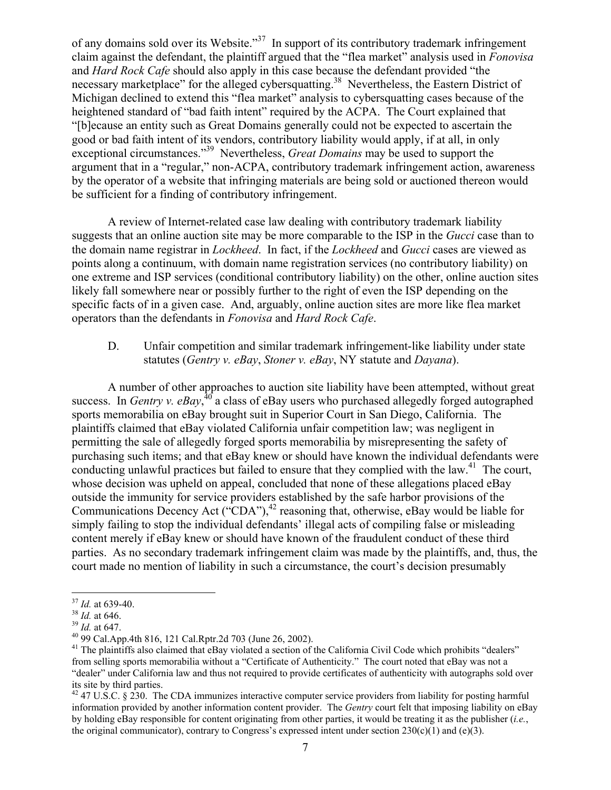of any domains sold over its Website."37 In support of its contributory trademark infringement claim against the defendant, the plaintiff argued that the "flea market" analysis used in *Fonovisa*  and *Hard Rock Cafe* should also apply in this case because the defendant provided "the necessary marketplace" for the alleged cybersquatting.<sup>38</sup> Nevertheless, the Eastern District of Michigan declined to extend this "flea market" analysis to cybersquatting cases because of the heightened standard of "bad faith intent" required by the ACPA. The Court explained that "[b]ecause an entity such as Great Domains generally could not be expected to ascertain the good or bad faith intent of its vendors, contributory liability would apply, if at all, in only exceptional circumstances."39 Nevertheless, *Great Domains* may be used to support the argument that in a "regular," non-ACPA, contributory trademark infringement action, awareness by the operator of a website that infringing materials are being sold or auctioned thereon would be sufficient for a finding of contributory infringement.

 A review of Internet-related case law dealing with contributory trademark liability suggests that an online auction site may be more comparable to the ISP in the *Gucci* case than to the domain name registrar in *Lockheed*. In fact, if the *Lockheed* and *Gucci* cases are viewed as points along a continuum, with domain name registration services (no contributory liability) on one extreme and ISP services (conditional contributory liability) on the other, online auction sites likely fall somewhere near or possibly further to the right of even the ISP depending on the specific facts of in a given case. And, arguably, online auction sites are more like flea market operators than the defendants in *Fonovisa* and *Hard Rock Cafe*.

D. Unfair competition and similar trademark infringement-like liability under state statutes (*Gentry v. eBay*, *Stoner v. eBay*, NY statute and *Dayana*).

 A number of other approaches to auction site liability have been attempted, without great success. In *Gentry v. eBay*,  $^{40}$  a class of eBay users who purchased allegedly forged autographed sports memorabilia on eBay brought suit in Superior Court in San Diego, California. The plaintiffs claimed that eBay violated California unfair competition law; was negligent in permitting the sale of allegedly forged sports memorabilia by misrepresenting the safety of purchasing such items; and that eBay knew or should have known the individual defendants were conducting unlawful practices but failed to ensure that they complied with the law.<sup>41</sup> The court, whose decision was upheld on appeal, concluded that none of these allegations placed eBay outside the immunity for service providers established by the safe harbor provisions of the Communications Decency Act ("CDA"), $^{42}$  reasoning that, otherwise, eBay would be liable for simply failing to stop the individual defendants' illegal acts of compiling false or misleading content merely if eBay knew or should have known of the fraudulent conduct of these third parties. As no secondary trademark infringement claim was made by the plaintiffs, and, thus, the court made no mention of liability in such a circumstance, the court's decision presumably

<sup>1</sup> 

<sup>&</sup>lt;sup>37</sup> *Id.* at 639-40.<br><sup>38</sup> *Id.* at 646.<br><sup>39</sup> *Id.* at 647.<br><sup>40</sup> 99 Cal.App.4th 816, 121 Cal.Rptr.2d 703 (June 26, 2002).

 $41$  The plaintiffs also claimed that eBay violated a section of the California Civil Code which prohibits "dealers" from selling sports memorabilia without a "Certificate of Authenticity." The court noted that eBay was not a "dealer" under California law and thus not required to provide certificates of authenticity with autographs sold over its site by third parties.

 $42$  47 U.S.C. § 230. The CDA immunizes interactive computer service providers from liability for posting harmful information provided by another information content provider. The *Gentry* court felt that imposing liability on eBay by holding eBay responsible for content originating from other parties, it would be treating it as the publisher (*i.e.*, the original communicator), contrary to Congress's expressed intent under section  $230(c)(1)$  and  $(e)(3)$ .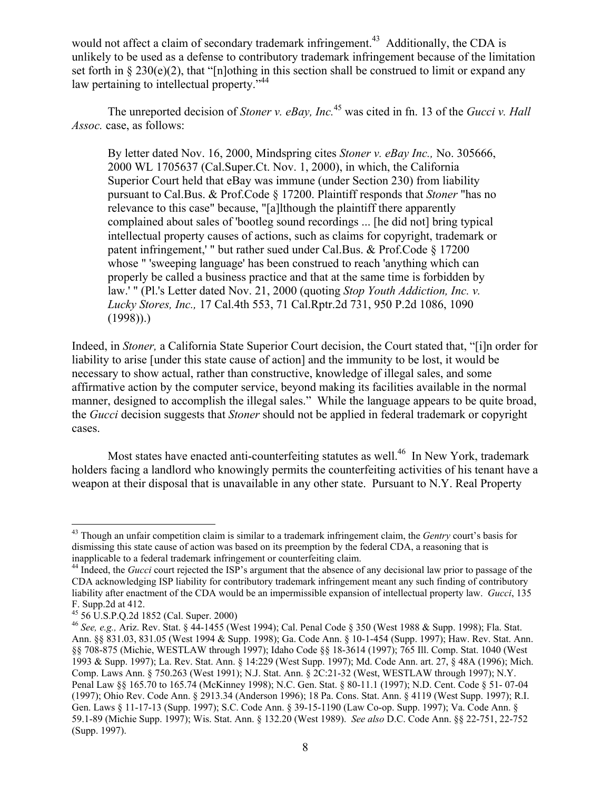would not affect a claim of secondary trademark infringement.<sup>43</sup> Additionally, the CDA is unlikely to be used as a defense to contributory trademark infringement because of the limitation set forth in  $\S 230(e)(2)$ , that "[n]othing in this section shall be construed to limit or expand any law pertaining to intellectual property."<sup>44</sup>

The unreported decision of *Stoner v. eBay, Inc.*45 was cited in fn. 13 of the *Gucci v. Hall Assoc.* case, as follows:

By letter dated Nov. 16, 2000, Mindspring cites *Stoner v. eBay Inc.,* No. 305666, 2000 WL 1705637 (Cal.Super.Ct. Nov. 1, 2000), in which, the California Superior Court held that eBay was immune (under Section 230) from liability pursuant to Cal.Bus. & Prof.Code § 17200. Plaintiff responds that *Stoner* "has no relevance to this case" because, "[a]lthough the plaintiff there apparently complained about sales of 'bootleg sound recordings ... [he did not] bring typical intellectual property causes of actions, such as claims for copyright, trademark or patent infringement,' " but rather sued under Cal.Bus. & Prof.Code § 17200 whose " 'sweeping language' has been construed to reach 'anything which can properly be called a business practice and that at the same time is forbidden by law.' " (Pl.'s Letter dated Nov. 21, 2000 (quoting *Stop Youth Addiction, Inc. v. Lucky Stores, Inc.,* 17 Cal.4th 553, 71 Cal.Rptr.2d 731, 950 P.2d 1086, 1090  $(1998)$ ).

Indeed, in *Stoner,* a California State Superior Court decision, the Court stated that, "[i]n order for liability to arise [under this state cause of action] and the immunity to be lost, it would be necessary to show actual, rather than constructive, knowledge of illegal sales, and some affirmative action by the computer service, beyond making its facilities available in the normal manner, designed to accomplish the illegal sales." While the language appears to be quite broad, the *Gucci* decision suggests that *Stoner* should not be applied in federal trademark or copyright cases.

Most states have enacted anti-counterfeiting statutes as well.<sup>46</sup> In New York, trademark holders facing a landlord who knowingly permits the counterfeiting activities of his tenant have a weapon at their disposal that is unavailable in any other state. Pursuant to N.Y. Real Property

<sup>43</sup> Though an unfair competition claim is similar to a trademark infringement claim, the *Gentry* court's basis for dismissing this state cause of action was based on its preemption by the federal CDA, a reasoning that is inapplicable to a federal trademark infringement or counterfeiting claim.

<sup>&</sup>lt;sup>44</sup> Indeed, the *Gucci* court rejected the ISP's argument that the absence of any decisional law prior to passage of the CDA acknowledging ISP liability for contributory trademark infringement meant any such finding of contributory liability after enactment of the CDA would be an impermissible expansion of intellectual property law. *Gucci*, 135 F. Supp.2d at 412.

<sup>45 56</sup> U.S.P.Q.2d 1852 (Cal. Super. 2000)

<sup>46</sup> *See, e.g.,* Ariz. Rev. Stat. § 44-1455 (West 1994); Cal. Penal Code § 350 (West 1988 & Supp. 1998); Fla. Stat. Ann. §§ 831.03, 831.05 (West 1994 & Supp. 1998); Ga. Code Ann. § 10-1-454 (Supp. 1997); Haw. Rev. Stat. Ann. §§ 708-875 (Michie, WESTLAW through 1997); Idaho Code §§ 18-3614 (1997); 765 Ill. Comp. Stat. 1040 (West 1993 & Supp. 1997); La. Rev. Stat. Ann. § 14:229 (West Supp. 1997); Md. Code Ann. art. 27, § 48A (1996); Mich. Comp. Laws Ann. § 750.263 (West 1991); N.J. Stat. Ann. § 2C:21-32 (West, WESTLAW through 1997); N.Y. Penal Law §§ 165.70 to 165.74 (McKinney 1998); N.C. Gen. Stat. § 80-11.1 (1997); N.D. Cent. Code § 51- 07-04 (1997); Ohio Rev. Code Ann. § 2913.34 (Anderson 1996); 18 Pa. Cons. Stat. Ann. § 4119 (West Supp. 1997); R.I. Gen. Laws § 11-17-13 (Supp. 1997); S.C. Code Ann. § 39-15-1190 (Law Co-op. Supp. 1997); Va. Code Ann. § 59.1-89 (Michie Supp. 1997); Wis. Stat. Ann. § 132.20 (West 1989). *See also* D.C. Code Ann. §§ 22-751, 22-752 (Supp. 1997).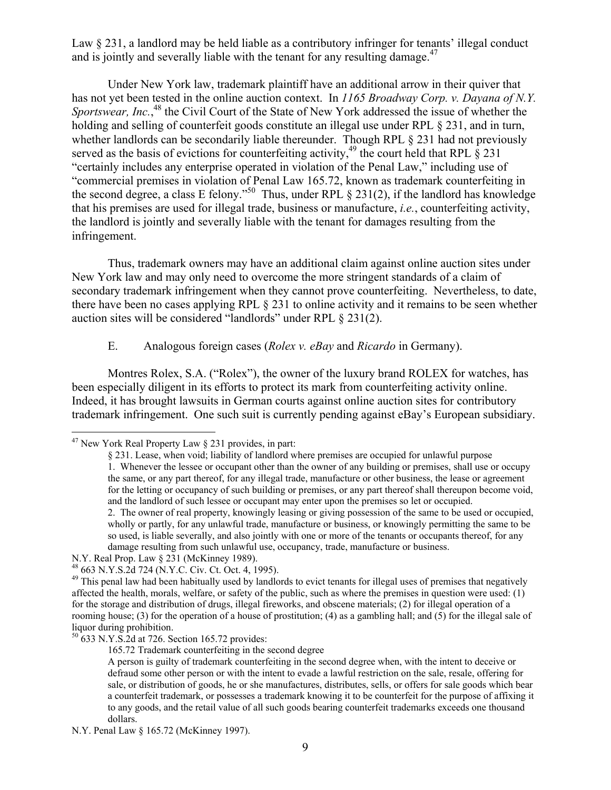Law § 231, a landlord may be held liable as a contributory infringer for tenants' illegal conduct and is jointly and severally liable with the tenant for any resulting damage.<sup>47</sup>

Under New York law, trademark plaintiff have an additional arrow in their quiver that has not yet been tested in the online auction context. In *1165 Broadway Corp. v. Dayana of N.Y.*  Sportswear, Inc.,<sup>48</sup> the Civil Court of the State of New York addressed the issue of whether the holding and selling of counterfeit goods constitute an illegal use under RPL § 231, and in turn, whether landlords can be secondarily liable thereunder. Though RPL  $\S$  231 had not previously served as the basis of evictions for counterfeiting activity,  $49$  the court held that RPL § 231 "certainly includes any enterprise operated in violation of the Penal Law," including use of "commercial premises in violation of Penal Law 165.72, known as trademark counterfeiting in the second degree, a class E felony."<sup>50</sup> Thus, under RPL  $\S$  231(2), if the landlord has knowledge that his premises are used for illegal trade, business or manufacture, *i.e.*, counterfeiting activity, the landlord is jointly and severally liable with the tenant for damages resulting from the infringement.

Thus, trademark owners may have an additional claim against online auction sites under New York law and may only need to overcome the more stringent standards of a claim of secondary trademark infringement when they cannot prove counterfeiting. Nevertheless, to date, there have been no cases applying RPL § 231 to online activity and it remains to be seen whether auction sites will be considered "landlords" under RPL § 231(2).

## E. Analogous foreign cases (*Rolex v. eBay* and *Ricardo* in Germany).

Montres Rolex, S.A. ("Rolex"), the owner of the luxury brand ROLEX for watches, has been especially diligent in its efforts to protect its mark from counterfeiting activity online. Indeed, it has brought lawsuits in German courts against online auction sites for contributory trademark infringement. One such suit is currently pending against eBay's European subsidiary.

1

165.72 Trademark counterfeiting in the second degree

<sup>&</sup>lt;sup>47</sup> New York Real Property Law § 231 provides, in part:

<sup>§ 231.</sup> Lease, when void; liability of landlord where premises are occupied for unlawful purpose 1. Whenever the lessee or occupant other than the owner of any building or premises, shall use or occupy the same, or any part thereof, for any illegal trade, manufacture or other business, the lease or agreement for the letting or occupancy of such building or premises, or any part thereof shall thereupon become void, and the landlord of such lessee or occupant may enter upon the premises so let or occupied. 2. The owner of real property, knowingly leasing or giving possession of the same to be used or occupied, wholly or partly, for any unlawful trade, manufacture or business, or knowingly permitting the same to be so used, is liable severally, and also jointly with one or more of the tenants or occupants thereof, for any

damage resulting from such unlawful use, occupancy, trade, manufacture or business.

N.Y. Real Prop. Law § 231 (McKinney 1989).

<sup>48 663</sup> N.Y.S.2d 724 (N.Y.C. Civ. Ct. Oct. 4, 1995).

 $49$  This penal law had been habitually used by landlords to evict tenants for illegal uses of premises that negatively affected the health, morals, welfare, or safety of the public, such as where the premises in question were used: (1) for the storage and distribution of drugs, illegal fireworks, and obscene materials; (2) for illegal operation of a rooming house; (3) for the operation of a house of prostitution; (4) as a gambling hall; and (5) for the illegal sale of liquor during prohibition.

<sup>50 633</sup> N.Y.S.2d at 726. Section 165.72 provides:

A person is guilty of trademark counterfeiting in the second degree when, with the intent to deceive or defraud some other person or with the intent to evade a lawful restriction on the sale, resale, offering for sale, or distribution of goods, he or she manufactures, distributes, sells, or offers for sale goods which bear a counterfeit trademark, or possesses a trademark knowing it to be counterfeit for the purpose of affixing it to any goods, and the retail value of all such goods bearing counterfeit trademarks exceeds one thousand dollars.

N.Y. Penal Law § 165.72 (McKinney 1997).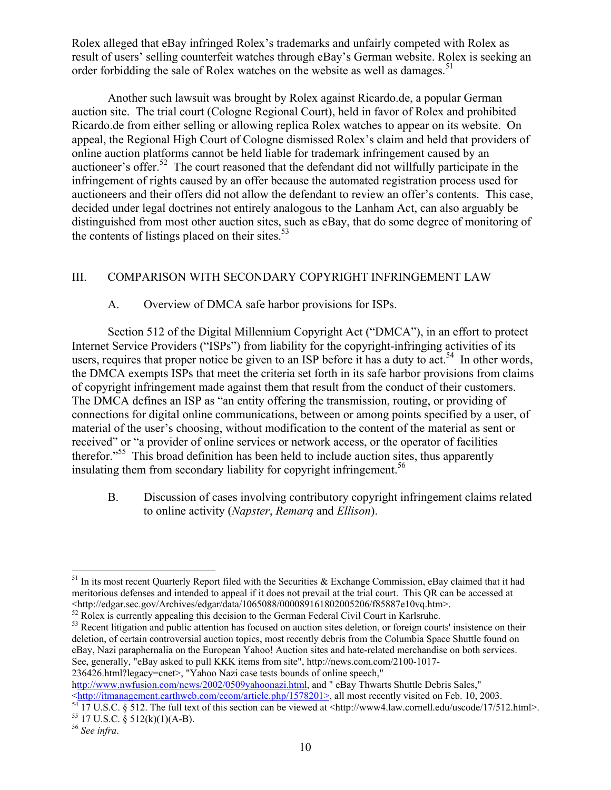Rolex alleged that eBay infringed Rolex's trademarks and unfairly competed with Rolex as result of users' selling counterfeit watches through eBay's German website. Rolex is seeking an order forbidding the sale of Rolex watches on the website as well as damages.<sup>51</sup>

Another such lawsuit was brought by Rolex against Ricardo.de, a popular German auction site. The trial court (Cologne Regional Court), held in favor of Rolex and prohibited Ricardo.de from either selling or allowing replica Rolex watches to appear on its website. On appeal, the Regional High Court of Cologne dismissed Rolex's claim and held that providers of online auction platforms cannot be held liable for trademark infringement caused by an auctioneer's offer.<sup>52</sup> The court reasoned that the defendant did not willfully participate in the infringement of rights caused by an offer because the automated registration process used for auctioneers and their offers did not allow the defendant to review an offer's contents. This case, decided under legal doctrines not entirely analogous to the Lanham Act, can also arguably be distinguished from most other auction sites, such as eBay, that do some degree of monitoring of the contents of listings placed on their sites. $53$ 

# III. COMPARISON WITH SECONDARY COPYRIGHT INFRINGEMENT LAW

# A. Overview of DMCA safe harbor provisions for ISPs.

Section 512 of the Digital Millennium Copyright Act ("DMCA"), in an effort to protect Internet Service Providers ("ISPs") from liability for the copyright-infringing activities of its users, requires that proper notice be given to an ISP before it has a duty to act.<sup>54</sup> In other words, the DMCA exempts ISPs that meet the criteria set forth in its safe harbor provisions from claims of copyright infringement made against them that result from the conduct of their customers. The DMCA defines an ISP as "an entity offering the transmission, routing, or providing of connections for digital online communications, between or among points specified by a user, of material of the user's choosing, without modification to the content of the material as sent or received" or "a provider of online services or network access, or the operator of facilities therefor."<sup>55</sup> This broad definition has been held to include auction sites, thus apparently insulating them from secondary liability for copyright infringement.<sup>56</sup>

B. Discussion of cases involving contributory copyright infringement claims related to online activity (*Napster*, *Remarq* and *Ellison*).

http://www.nwfusion.com/news/2002/0509yahoonazi.html, and " eBay Thwarts Shuttle Debris Sales,"<br><http://itmanagement.earthweb.com/ecom/article.php/1578201>, all most recently visited on Feb. 10, 2003.

 $\overline{a}$  $51$  In its most recent Quarterly Report filed with the Securities & Exchange Commission, eBay claimed that it had meritorious defenses and intended to appeal if it does not prevail at the trial court. This QR can be accessed at <http://edgar.sec.gov/Archives/edgar/data/1065088/000089161802005206/f85887e10vq.htm>.

<sup>&</sup>lt;sup>52</sup> Rolex is currently appealing this decision to the German Federal Civil Court in Karlsruhe.

<sup>&</sup>lt;sup>53</sup> Recent litigation and public attention has focused on auction sites deletion, or foreign courts' insistence on their deletion, of certain controversial auction topics, most recently debris from the Columbia Space Shuttle found on eBay, Nazi paraphernalia on the European Yahoo! Auction sites and hate-related merchandise on both services. See, generally, "eBay asked to pull KKK items from site", http://news.com.com/2100-1017- 236426.html?legacy=cnet>, "Yahoo Nazi case tests bounds of online speech,"

<sup>&</sup>lt;sup>54</sup> 17 U.S.C. § 512. The full text of this section can be viewed at <http://www4.law.cornell.edu/uscode/17/512.html>.<br><sup>55</sup> 17 U.S.C. § 512(k)(1)(A-B).

<sup>56</sup> *See infra*.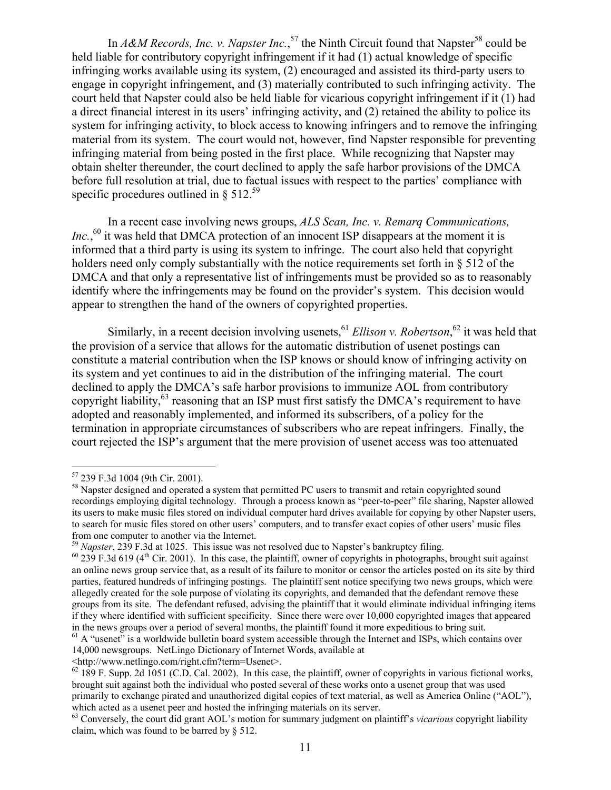In *A&M Records, Inc. v. Napster Inc.*,<sup>57</sup> the Ninth Circuit found that Napster<sup>58</sup> could be held liable for contributory copyright infringement if it had (1) actual knowledge of specific infringing works available using its system, (2) encouraged and assisted its third-party users to engage in copyright infringement, and (3) materially contributed to such infringing activity. The court held that Napster could also be held liable for vicarious copyright infringement if it (1) had a direct financial interest in its users' infringing activity, and (2) retained the ability to police its system for infringing activity, to block access to knowing infringers and to remove the infringing material from its system. The court would not, however, find Napster responsible for preventing infringing material from being posted in the first place. While recognizing that Napster may obtain shelter thereunder, the court declined to apply the safe harbor provisions of the DMCA before full resolution at trial, due to factual issues with respect to the parties' compliance with specific procedures outlined in  $\S 512.^{59}$ 

 In a recent case involving news groups, *ALS Scan, Inc. v. Remarq Communications, Inc.*,<sup>60</sup> it was held that DMCA protection of an innocent ISP disappears at the moment it is informed that a third party is using its system to infringe. The court also held that copyright holders need only comply substantially with the notice requirements set forth in § 512 of the DMCA and that only a representative list of infringements must be provided so as to reasonably identify where the infringements may be found on the provider's system. This decision would appear to strengthen the hand of the owners of copyrighted properties.

Similarly, in a recent decision involving usenets, <sup>61</sup> *Ellison v. Robertson*, <sup>62</sup> it was held that the provision of a service that allows for the automatic distribution of usenet postings can constitute a material contribution when the ISP knows or should know of infringing activity on its system and yet continues to aid in the distribution of the infringing material. The court declined to apply the DMCA's safe harbor provisions to immunize AOL from contributory copyright liability,  $63$  reasoning that an ISP must first satisfy the DMCA's requirement to have adopted and reasonably implemented, and informed its subscribers, of a policy for the termination in appropriate circumstances of subscribers who are repeat infringers. Finally, the court rejected the ISP's argument that the mere provision of usenet access was too attenuated

 $\overline{a}$ 

<http://www.netlingo.com/right.cfm?term=Usenet>.

<sup>57 239</sup> F.3d 1004 (9th Cir. 2001).

<sup>&</sup>lt;sup>58</sup> Napster designed and operated a system that permitted PC users to transmit and retain copyrighted sound recordings employing digital technology. Through a process known as "peer-to-peer" file sharing, Napster allowed its users to make music files stored on individual computer hard drives available for copying by other Napster users, to search for music files stored on other users' computers, and to transfer exact copies of other users' music files from one computer to another via the Internet.<br><sup>59</sup> Napster, 239 F.3d at 1025. This issue was not resolved due to Napster's bankruptcy filing.

<sup>&</sup>lt;sup>60</sup> 239 F.3d 619 (4<sup>th</sup> Cir. 2001). In this case, the plaintiff, owner of copyrights in photographs, brought suit against an online news group service that, as a result of its failure to monitor or censor the articles posted on its site by third parties, featured hundreds of infringing postings. The plaintiff sent notice specifying two news groups, which were allegedly created for the sole purpose of violating its copyrights, and demanded that the defendant remove these groups from its site. The defendant refused, advising the plaintiff that it would eliminate individual infringing items if they where identified with sufficient specificity. Since there were over 10,000 copyrighted images that appeared in the news groups over a period of several months, the plaintiff found it more expeditious to bring suit.

 $61$  A "usenet" is a worldwide bulletin board system accessible through the Internet and ISPs, which contains over 14,000 newsgroups. NetLingo Dictionary of Internet Words, available at

 $62$  189 F. Supp. 2d 1051 (C.D. Cal. 2002). In this case, the plaintiff, owner of copyrights in various fictional works, brought suit against both the individual who posted several of these works onto a usenet group that was used primarily to exchange pirated and unauthorized digital copies of text material, as well as America Online ("AOL"), which acted as a usenet peer and hosted the infringing materials on its server.

<sup>&</sup>lt;sup>63</sup> Conversely, the court did grant AOL's motion for summary judgment on plaintiff's *vicarious* copyright liability claim, which was found to be barred by § 512.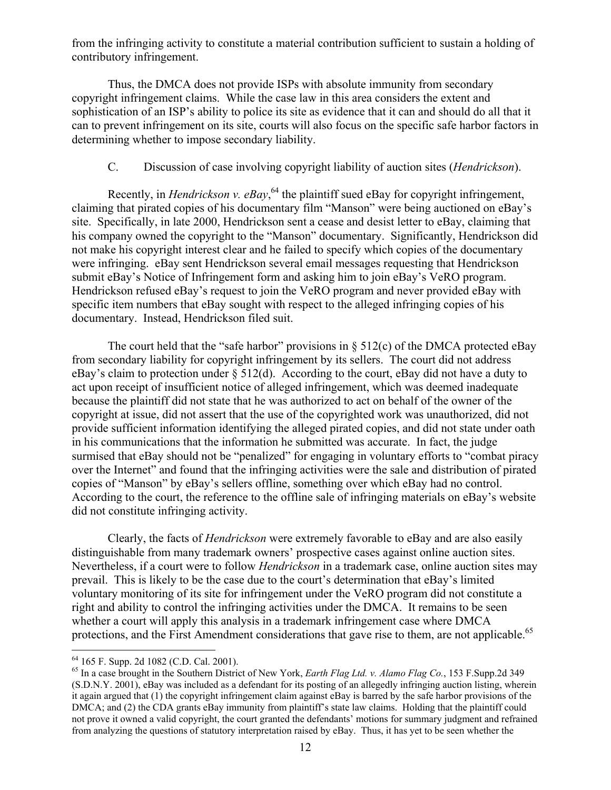from the infringing activity to constitute a material contribution sufficient to sustain a holding of contributory infringement.

Thus, the DMCA does not provide ISPs with absolute immunity from secondary copyright infringement claims. While the case law in this area considers the extent and sophistication of an ISP's ability to police its site as evidence that it can and should do all that it can to prevent infringement on its site, courts will also focus on the specific safe harbor factors in determining whether to impose secondary liability.

## C. Discussion of case involving copyright liability of auction sites (*Hendrickson*).

Recently, in *Hendrickson v. eBay*,<sup>64</sup> the plaintiff sued eBay for copyright infringement, claiming that pirated copies of his documentary film "Manson" were being auctioned on eBay's site. Specifically, in late 2000, Hendrickson sent a cease and desist letter to eBay, claiming that his company owned the copyright to the "Manson" documentary. Significantly, Hendrickson did not make his copyright interest clear and he failed to specify which copies of the documentary were infringing. eBay sent Hendrickson several email messages requesting that Hendrickson submit eBay's Notice of Infringement form and asking him to join eBay's VeRO program. Hendrickson refused eBay's request to join the VeRO program and never provided eBay with specific item numbers that eBay sought with respect to the alleged infringing copies of his documentary. Instead, Hendrickson filed suit.

The court held that the "safe harbor" provisions in  $\S$  512(c) of the DMCA protected eBay from secondary liability for copyright infringement by its sellers. The court did not address eBay's claim to protection under § 512(d). According to the court, eBay did not have a duty to act upon receipt of insufficient notice of alleged infringement, which was deemed inadequate because the plaintiff did not state that he was authorized to act on behalf of the owner of the copyright at issue, did not assert that the use of the copyrighted work was unauthorized, did not provide sufficient information identifying the alleged pirated copies, and did not state under oath in his communications that the information he submitted was accurate. In fact, the judge surmised that eBay should not be "penalized" for engaging in voluntary efforts to "combat piracy over the Internet" and found that the infringing activities were the sale and distribution of pirated copies of "Manson" by eBay's sellers offline, something over which eBay had no control. According to the court, the reference to the offline sale of infringing materials on eBay's website did not constitute infringing activity.

 Clearly, the facts of *Hendrickson* were extremely favorable to eBay and are also easily distinguishable from many trademark owners' prospective cases against online auction sites. Nevertheless, if a court were to follow *Hendrickson* in a trademark case, online auction sites may prevail. This is likely to be the case due to the court's determination that eBay's limited voluntary monitoring of its site for infringement under the VeRO program did not constitute a right and ability to control the infringing activities under the DMCA. It remains to be seen whether a court will apply this analysis in a trademark infringement case where DMCA protections, and the First Amendment considerations that gave rise to them, are not applicable.<sup>65</sup>

<u>.</u>

<sup>64 165</sup> F. Supp. 2d 1082 (C.D. Cal. 2001).

<sup>65</sup> In a case brought in the Southern District of New York, *Earth Flag Ltd. v. Alamo Flag Co.*, 153 F.Supp.2d 349 (S.D.N.Y. 2001), eBay was included as a defendant for its posting of an allegedly infringing auction listing, wherein it again argued that (1) the copyright infringement claim against eBay is barred by the safe harbor provisions of the DMCA; and (2) the CDA grants eBay immunity from plaintiff's state law claims. Holding that the plaintiff could not prove it owned a valid copyright, the court granted the defendants' motions for summary judgment and refrained from analyzing the questions of statutory interpretation raised by eBay. Thus, it has yet to be seen whether the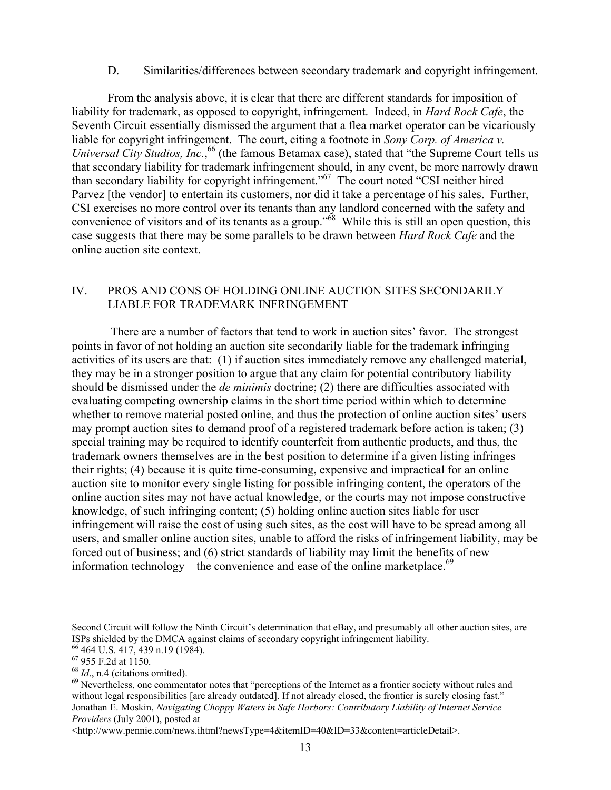#### D. Similarities/differences between secondary trademark and copyright infringement.

From the analysis above, it is clear that there are different standards for imposition of liability for trademark, as opposed to copyright, infringement. Indeed, in *Hard Rock Cafe*, the Seventh Circuit essentially dismissed the argument that a flea market operator can be vicariously liable for copyright infringement. The court, citing a footnote in *Sony Corp. of America v. Universal City Studios, Inc.*, 66 (the famous Betamax case), stated that "the Supreme Court tells us that secondary liability for trademark infringement should, in any event, be more narrowly drawn than secondary liability for copyright infringement."67 The court noted "CSI neither hired Parvez [the vendor] to entertain its customers, nor did it take a percentage of his sales. Further, CSI exercises no more control over its tenants than any landlord concerned with the safety and convenience of visitors and of its tenants as a group.<sup>"68</sup> While this is still an open question, this case suggests that there may be some parallels to be drawn between *Hard Rock Cafe* and the online auction site context.

## IV. PROS AND CONS OF HOLDING ONLINE AUCTION SITES SECONDARILY LIABLE FOR TRADEMARK INFRINGEMENT

 There are a number of factors that tend to work in auction sites' favor. The strongest points in favor of not holding an auction site secondarily liable for the trademark infringing activities of its users are that: (1) if auction sites immediately remove any challenged material, they may be in a stronger position to argue that any claim for potential contributory liability should be dismissed under the *de minimis* doctrine; (2) there are difficulties associated with evaluating competing ownership claims in the short time period within which to determine whether to remove material posted online, and thus the protection of online auction sites' users may prompt auction sites to demand proof of a registered trademark before action is taken; (3) special training may be required to identify counterfeit from authentic products, and thus, the trademark owners themselves are in the best position to determine if a given listing infringes their rights; (4) because it is quite time-consuming, expensive and impractical for an online auction site to monitor every single listing for possible infringing content, the operators of the online auction sites may not have actual knowledge, or the courts may not impose constructive knowledge, of such infringing content; (5) holding online auction sites liable for user infringement will raise the cost of using such sites, as the cost will have to be spread among all users, and smaller online auction sites, unable to afford the risks of infringement liability, may be forced out of business; and (6) strict standards of liability may limit the benefits of new information technology – the convenience and ease of the online marketplace.<sup>69</sup>

Second Circuit will follow the Ninth Circuit's determination that eBay, and presumably all other auction sites, are ISPs shielded by the DMCA against claims of secondary copyright infringement liability.

<sup>66 464</sup> U.S. 417, 439 n.19 (1984).

 $^{67}$  955 F.2d at 1150.<br> $^{68}$  *Id.*, n.4 (citations omitted).

<sup>&</sup>lt;sup>69</sup> Nevertheless, one commentator notes that "perceptions of the Internet as a frontier society without rules and without legal responsibilities [are already outdated]. If not already closed, the frontier is surely closing fast." Jonathan E. Moskin, *Navigating Choppy Waters in Safe Harbors: Contributory Liability of Internet Service Providers* (July 2001), posted at

<sup>&</sup>lt;http://www.pennie.com/news.ihtml?newsType=4&itemID=40&ID=33&content=articleDetail>.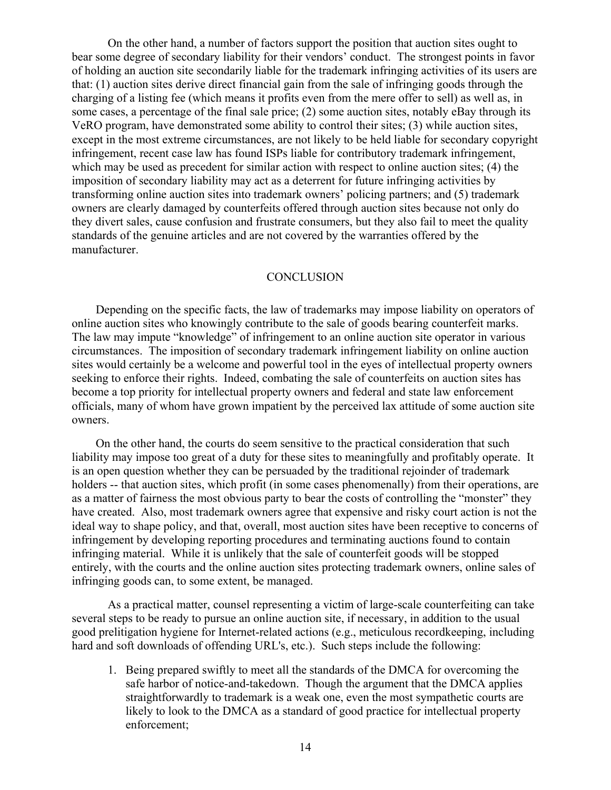On the other hand, a number of factors support the position that auction sites ought to bear some degree of secondary liability for their vendors' conduct. The strongest points in favor of holding an auction site secondarily liable for the trademark infringing activities of its users are that: (1) auction sites derive direct financial gain from the sale of infringing goods through the charging of a listing fee (which means it profits even from the mere offer to sell) as well as, in some cases, a percentage of the final sale price; (2) some auction sites, notably eBay through its VeRO program, have demonstrated some ability to control their sites; (3) while auction sites, except in the most extreme circumstances, are not likely to be held liable for secondary copyright infringement, recent case law has found ISPs liable for contributory trademark infringement, which may be used as precedent for similar action with respect to online auction sites; (4) the imposition of secondary liability may act as a deterrent for future infringing activities by transforming online auction sites into trademark owners' policing partners; and (5) trademark owners are clearly damaged by counterfeits offered through auction sites because not only do they divert sales, cause confusion and frustrate consumers, but they also fail to meet the quality standards of the genuine articles and are not covered by the warranties offered by the manufacturer.

### **CONCLUSION**

 Depending on the specific facts, the law of trademarks may impose liability on operators of online auction sites who knowingly contribute to the sale of goods bearing counterfeit marks. The law may impute "knowledge" of infringement to an online auction site operator in various circumstances. The imposition of secondary trademark infringement liability on online auction sites would certainly be a welcome and powerful tool in the eyes of intellectual property owners seeking to enforce their rights. Indeed, combating the sale of counterfeits on auction sites has become a top priority for intellectual property owners and federal and state law enforcement officials, many of whom have grown impatient by the perceived lax attitude of some auction site owners.

 On the other hand, the courts do seem sensitive to the practical consideration that such liability may impose too great of a duty for these sites to meaningfully and profitably operate. It is an open question whether they can be persuaded by the traditional rejoinder of trademark holders -- that auction sites, which profit (in some cases phenomenally) from their operations, are as a matter of fairness the most obvious party to bear the costs of controlling the "monster" they have created. Also, most trademark owners agree that expensive and risky court action is not the ideal way to shape policy, and that, overall, most auction sites have been receptive to concerns of infringement by developing reporting procedures and terminating auctions found to contain infringing material. While it is unlikely that the sale of counterfeit goods will be stopped entirely, with the courts and the online auction sites protecting trademark owners, online sales of infringing goods can, to some extent, be managed.

As a practical matter, counsel representing a victim of large-scale counterfeiting can take several steps to be ready to pursue an online auction site, if necessary, in addition to the usual good prelitigation hygiene for Internet-related actions (e.g., meticulous recordkeeping, including hard and soft downloads of offending URL's, etc.). Such steps include the following:

1. Being prepared swiftly to meet all the standards of the DMCA for overcoming the safe harbor of notice-and-takedown. Though the argument that the DMCA applies straightforwardly to trademark is a weak one, even the most sympathetic courts are likely to look to the DMCA as a standard of good practice for intellectual property enforcement;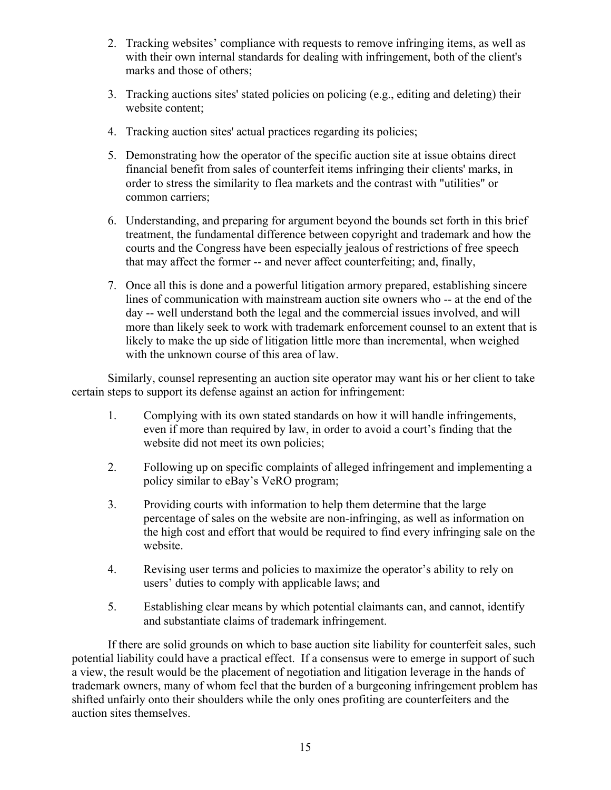- 2. Tracking websites' compliance with requests to remove infringing items, as well as with their own internal standards for dealing with infringement, both of the client's marks and those of others;
- 3. Tracking auctions sites' stated policies on policing (e.g., editing and deleting) their website content;
- 4. Tracking auction sites' actual practices regarding its policies;
- 5. Demonstrating how the operator of the specific auction site at issue obtains direct financial benefit from sales of counterfeit items infringing their clients' marks, in order to stress the similarity to flea markets and the contrast with "utilities" or common carriers;
- 6. Understanding, and preparing for argument beyond the bounds set forth in this brief treatment, the fundamental difference between copyright and trademark and how the courts and the Congress have been especially jealous of restrictions of free speech that may affect the former -- and never affect counterfeiting; and, finally,
- 7. Once all this is done and a powerful litigation armory prepared, establishing sincere lines of communication with mainstream auction site owners who -- at the end of the day -- well understand both the legal and the commercial issues involved, and will more than likely seek to work with trademark enforcement counsel to an extent that is likely to make the up side of litigation little more than incremental, when weighed with the unknown course of this area of law.

Similarly, counsel representing an auction site operator may want his or her client to take certain steps to support its defense against an action for infringement:

- 1. Complying with its own stated standards on how it will handle infringements, even if more than required by law, in order to avoid a court's finding that the website did not meet its own policies;
- 2. Following up on specific complaints of alleged infringement and implementing a policy similar to eBay's VeRO program;
- 3. Providing courts with information to help them determine that the large percentage of sales on the website are non-infringing, as well as information on the high cost and effort that would be required to find every infringing sale on the website.
- 4. Revising user terms and policies to maximize the operator's ability to rely on users' duties to comply with applicable laws; and
- 5. Establishing clear means by which potential claimants can, and cannot, identify and substantiate claims of trademark infringement.

If there are solid grounds on which to base auction site liability for counterfeit sales, such potential liability could have a practical effect. If a consensus were to emerge in support of such a view, the result would be the placement of negotiation and litigation leverage in the hands of trademark owners, many of whom feel that the burden of a burgeoning infringement problem has shifted unfairly onto their shoulders while the only ones profiting are counterfeiters and the auction sites themselves.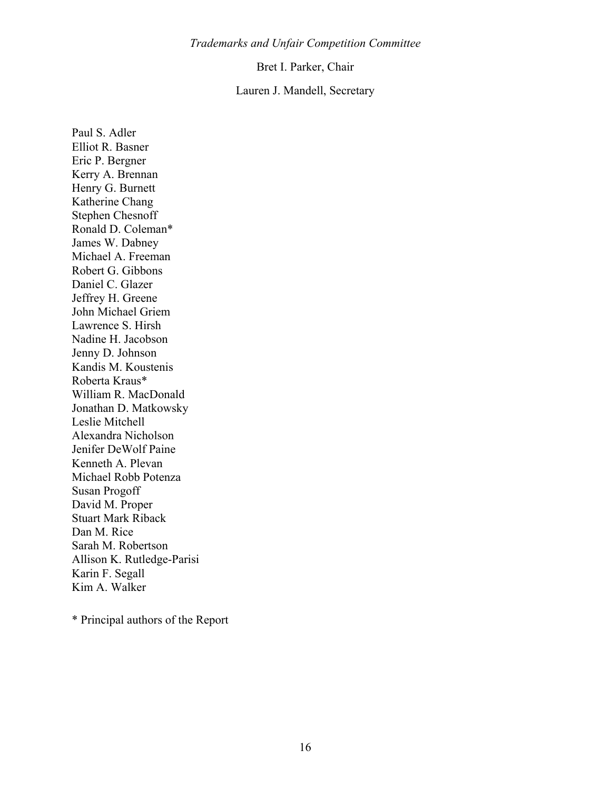### *Trademarks and Unfair Competition Committee*

#### Bret I. Parker, Chair

## Lauren J. Mandell, Secretary

Paul S. Adler Elliot R. Basner Eric P. Bergner Kerry A. Brennan Henry G. Burnett Katherine Chang Stephen Chesnoff Ronald D. Coleman\* James W. Dabney Michael A. Freeman Robert G. Gibbons Daniel C. Glazer Jeffrey H. Greene John Michael Griem Lawrence S. Hirsh Nadine H. Jacobson Jenny D. Johnson Kandis M. Koustenis Roberta Kraus\* William R. MacDonald Jonathan D. Matkowsky Leslie Mitchell Alexandra Nicholson Jenifer DeWolf Paine Kenneth A. Plevan Michael Robb Potenza Susan Progoff David M. Proper Stuart Mark Riback Dan M. Rice Sarah M. Robertson Allison K. Rutledge-Parisi Karin F. Segall Kim A. Walker

\* Principal authors of the Report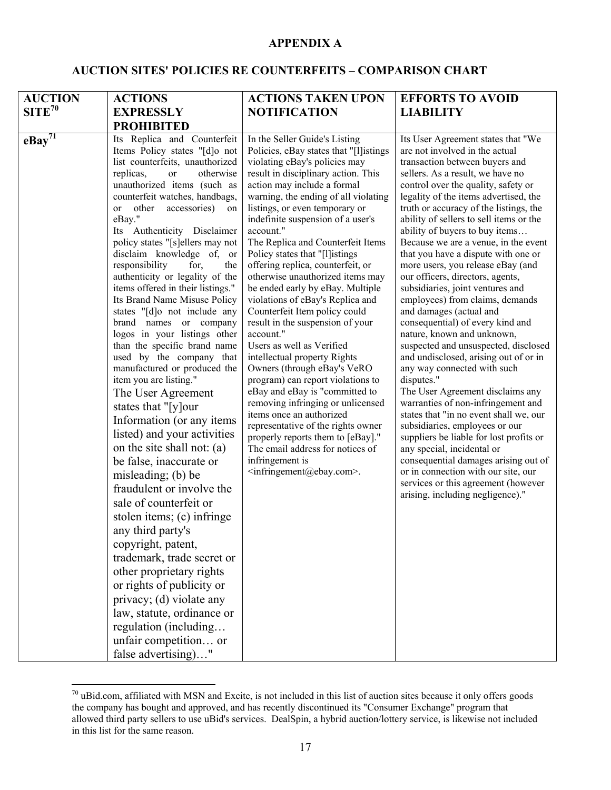## **APPENDIX A**

# **AUCTION SITES' POLICIES RE COUNTERFEITS – COMPARISON CHART**

| <b>AUCTION</b>        | <b>ACTIONS</b>                                                                                                                                                                                                                                                                                                                                                                                                                                                                                                                                                                                                                                                                                                                                                                                                                                                                                                                                                                                                                                                                                                                                                                                                                                                               | <b>ACTIONS TAKEN UPON</b>                                                                                                                                                                                                                                                                                                                                                                                                                                                                                                                                                                                                                                                                                                                                                                                                                                                                                                                                                                                                                      | <b>EFFORTS TO AVOID</b>                                                                                                                                                                                                                                                                                                                                                                                                                                                                                                                                                                                                                                                                                                                                                                                                                                                                                                                                                                                                                                                                                                                                                                              |
|-----------------------|------------------------------------------------------------------------------------------------------------------------------------------------------------------------------------------------------------------------------------------------------------------------------------------------------------------------------------------------------------------------------------------------------------------------------------------------------------------------------------------------------------------------------------------------------------------------------------------------------------------------------------------------------------------------------------------------------------------------------------------------------------------------------------------------------------------------------------------------------------------------------------------------------------------------------------------------------------------------------------------------------------------------------------------------------------------------------------------------------------------------------------------------------------------------------------------------------------------------------------------------------------------------------|------------------------------------------------------------------------------------------------------------------------------------------------------------------------------------------------------------------------------------------------------------------------------------------------------------------------------------------------------------------------------------------------------------------------------------------------------------------------------------------------------------------------------------------------------------------------------------------------------------------------------------------------------------------------------------------------------------------------------------------------------------------------------------------------------------------------------------------------------------------------------------------------------------------------------------------------------------------------------------------------------------------------------------------------|------------------------------------------------------------------------------------------------------------------------------------------------------------------------------------------------------------------------------------------------------------------------------------------------------------------------------------------------------------------------------------------------------------------------------------------------------------------------------------------------------------------------------------------------------------------------------------------------------------------------------------------------------------------------------------------------------------------------------------------------------------------------------------------------------------------------------------------------------------------------------------------------------------------------------------------------------------------------------------------------------------------------------------------------------------------------------------------------------------------------------------------------------------------------------------------------------|
| $SITE^{70}$           | <b>EXPRESSLY</b>                                                                                                                                                                                                                                                                                                                                                                                                                                                                                                                                                                                                                                                                                                                                                                                                                                                                                                                                                                                                                                                                                                                                                                                                                                                             | <b>NOTIFICATION</b>                                                                                                                                                                                                                                                                                                                                                                                                                                                                                                                                                                                                                                                                                                                                                                                                                                                                                                                                                                                                                            | <b>LIABILITY</b>                                                                                                                                                                                                                                                                                                                                                                                                                                                                                                                                                                                                                                                                                                                                                                                                                                                                                                                                                                                                                                                                                                                                                                                     |
|                       | <b>PROHIBITED</b>                                                                                                                                                                                                                                                                                                                                                                                                                                                                                                                                                                                                                                                                                                                                                                                                                                                                                                                                                                                                                                                                                                                                                                                                                                                            |                                                                                                                                                                                                                                                                                                                                                                                                                                                                                                                                                                                                                                                                                                                                                                                                                                                                                                                                                                                                                                                |                                                                                                                                                                                                                                                                                                                                                                                                                                                                                                                                                                                                                                                                                                                                                                                                                                                                                                                                                                                                                                                                                                                                                                                                      |
| $e$ Bay <sup>71</sup> | Its Replica and Counterfeit<br>Items Policy states "[d]o not<br>list counterfeits, unauthorized<br>replicas,<br>otherwise<br><b>or</b><br>unauthorized items (such as<br>counterfeit watches, handbags,<br>accessories)<br>other<br><sub>or</sub><br>on<br>eBay."<br>Its Authenticity Disclaimer<br>policy states "[s]ellers may not<br>disclaim knowledge of, or<br>responsibility<br>for,<br>the<br>authenticity or legality of the<br>items offered in their listings."<br>Its Brand Name Misuse Policy<br>states "[d]o not include any<br>brand names or company<br>logos in your listings other<br>than the specific brand name<br>used by the company that<br>manufactured or produced the<br>item you are listing."<br>The User Agreement<br>states that "[y]our<br>Information (or any items<br>listed) and your activities<br>on the site shall not: (a)<br>be false, inaccurate or<br>misleading; (b) be<br>fraudulent or involve the<br>sale of counterfeit or<br>stolen items; (c) infringe<br>any third party's<br>copyright, patent,<br>trademark, trade secret or<br>other proprietary rights<br>or rights of publicity or<br>privacy; (d) violate any<br>law, statute, ordinance or<br>regulation (including<br>unfair competition or<br>false advertising)" | In the Seller Guide's Listing<br>Policies, eBay states that "[l]istings<br>violating eBay's policies may<br>result in disciplinary action. This<br>action may include a formal<br>warning, the ending of all violating<br>listings, or even temporary or<br>indefinite suspension of a user's<br>account."<br>The Replica and Counterfeit Items<br>Policy states that "[l]istings<br>offering replica, counterfeit, or<br>otherwise unauthorized items may<br>be ended early by eBay. Multiple<br>violations of eBay's Replica and<br>Counterfeit Item policy could<br>result in the suspension of your<br>account."<br>Users as well as Verified<br>intellectual property Rights<br>Owners (through eBay's VeRO<br>program) can report violations to<br>eBay and eBay is "committed to<br>removing infringing or unlicensed<br>items once an authorized<br>representative of the rights owner<br>properly reports them to [eBay]."<br>The email address for notices of<br>infringement is<br><infringement@ebay.com>.</infringement@ebay.com> | Its User Agreement states that "We<br>are not involved in the actual<br>transaction between buyers and<br>sellers. As a result, we have no<br>control over the quality, safety or<br>legality of the items advertised, the<br>truth or accuracy of the listings, the<br>ability of sellers to sell items or the<br>ability of buyers to buy items<br>Because we are a venue, in the event<br>that you have a dispute with one or<br>more users, you release eBay (and<br>our officers, directors, agents,<br>subsidiaries, joint ventures and<br>employees) from claims, demands<br>and damages (actual and<br>consequential) of every kind and<br>nature, known and unknown,<br>suspected and unsuspected, disclosed<br>and undisclosed, arising out of or in<br>any way connected with such<br>disputes."<br>The User Agreement disclaims any<br>warranties of non-infringement and<br>states that "in no event shall we, our<br>subsidiaries, employees or our<br>suppliers be liable for lost profits or<br>any special, incidental or<br>consequential damages arising out of<br>or in connection with our site, our<br>services or this agreement (however<br>arising, including negligence)." |

 $70$  uBid.com, affiliated with MSN and Excite, is not included in this list of auction sites because it only offers goods the company has bought and approved, and has recently discontinued its "Consumer Exchange" program that allowed third party sellers to use uBid's services. DealSpin, a hybrid auction/lottery service, is likewise not included in this list for the same reason.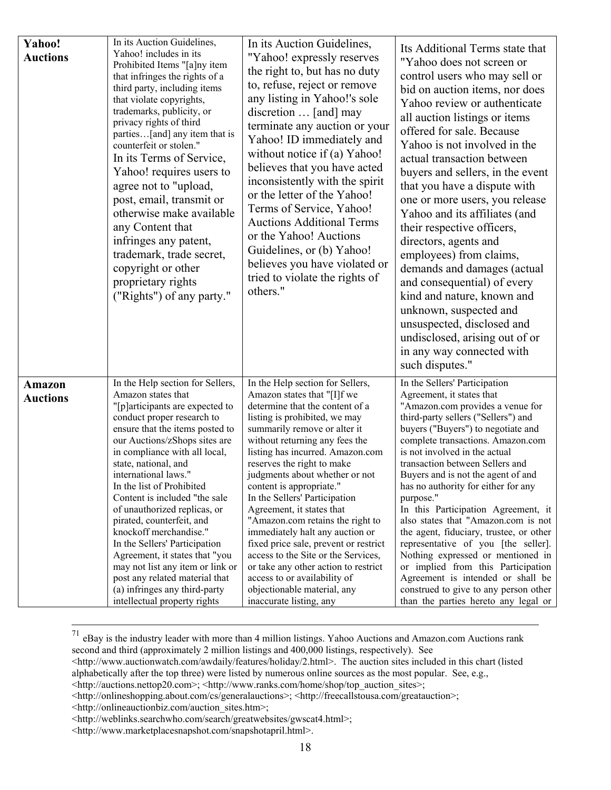| Yahoo!<br><b>Auctions</b>        | In its Auction Guidelines,<br>Yahoo! includes in its<br>Prohibited Items "[a]ny item<br>that infringes the rights of a<br>third party, including items<br>that violate copyrights,<br>trademarks, publicity, or<br>privacy rights of third<br>parties[and] any item that is<br>counterfeit or stolen."<br>In its Terms of Service,<br>Yahoo! requires users to<br>agree not to "upload,<br>post, email, transmit or<br>otherwise make available<br>any Content that<br>infringes any patent,<br>trademark, trade secret,<br>copyright or other<br>proprietary rights<br>("Rights") of any party."                                           | In its Auction Guidelines,<br>"Yahoo! expressly reserves<br>the right to, but has no duty<br>to, refuse, reject or remove<br>any listing in Yahoo!'s sole<br>discretion  [and] may<br>terminate any auction or your<br>Yahoo! ID immediately and<br>without notice if (a) Yahoo!<br>believes that you have acted<br>inconsistently with the spirit<br>or the letter of the Yahoo!<br>Terms of Service, Yahoo!<br><b>Auctions Additional Terms</b><br>or the Yahoo! Auctions<br>Guidelines, or (b) Yahoo!<br>believes you have violated or<br>tried to violate the rights of<br>others."                                                                                                      | Its Additional Terms state that<br>"Yahoo does not screen or<br>control users who may sell or<br>bid on auction items, nor does<br>Yahoo review or authenticate<br>all auction listings or items<br>offered for sale. Because<br>Yahoo is not involved in the<br>actual transaction between<br>buyers and sellers, in the event<br>that you have a dispute with<br>one or more users, you release<br>Yahoo and its affiliates (and<br>their respective officers,<br>directors, agents and<br>employees) from claims,<br>demands and damages (actual<br>and consequential) of every<br>kind and nature, known and<br>unknown, suspected and<br>unsuspected, disclosed and<br>undisclosed, arising out of or<br>in any way connected with<br>such disputes." |
|----------------------------------|---------------------------------------------------------------------------------------------------------------------------------------------------------------------------------------------------------------------------------------------------------------------------------------------------------------------------------------------------------------------------------------------------------------------------------------------------------------------------------------------------------------------------------------------------------------------------------------------------------------------------------------------|----------------------------------------------------------------------------------------------------------------------------------------------------------------------------------------------------------------------------------------------------------------------------------------------------------------------------------------------------------------------------------------------------------------------------------------------------------------------------------------------------------------------------------------------------------------------------------------------------------------------------------------------------------------------------------------------|------------------------------------------------------------------------------------------------------------------------------------------------------------------------------------------------------------------------------------------------------------------------------------------------------------------------------------------------------------------------------------------------------------------------------------------------------------------------------------------------------------------------------------------------------------------------------------------------------------------------------------------------------------------------------------------------------------------------------------------------------------|
| <b>Amazon</b><br><b>Auctions</b> | In the Help section for Sellers,<br>Amazon states that<br>"[p]articipants are expected to<br>conduct proper research to<br>ensure that the items posted to<br>our Auctions/zShops sites are<br>in compliance with all local,<br>state, national, and<br>international laws."<br>In the list of Prohibited<br>Content is included "the sale<br>of unauthorized replicas, or<br>pirated, counterfeit, and<br>knockoff merchandise."<br>In the Sellers' Participation<br>Agreement, it states that "you<br>may not list any item or link or<br>post any related material that<br>(a) infringes any third-party<br>intellectual property rights | In the Help section for Sellers,<br>Amazon states that "[I]f we<br>determine that the content of a<br>listing is prohibited, we may<br>summarily remove or alter it<br>without returning any fees the<br>listing has incurred. Amazon.com<br>reserves the right to make<br>judgments about whether or not<br>content is appropriate."<br>In the Sellers' Participation<br>Agreement, it states that<br>"Amazon.com retains the right to<br>immediately halt any auction or<br>fixed price sale, prevent or restrict<br>access to the Site or the Services,<br>or take any other action to restrict<br>access to or availability of<br>objectionable material, any<br>inaccurate listing, any | In the Sellers' Participation<br>Agreement, it states that<br>"Amazon.com provides a venue for<br>third-party sellers ("Sellers") and<br>buyers ("Buyers") to negotiate and<br>complete transactions. Amazon.com<br>is not involved in the actual<br>transaction between Sellers and<br>Buyers and is not the agent of and<br>has no authority for either for any<br>purpose."<br>In this Participation Agreement, it<br>also states that "Amazon.com is not<br>the agent, fiduciary, trustee, or other<br>representative of you [the seller].<br>Nothing expressed or mentioned in<br>or implied from this Participation<br>Agreement is intended or shall be<br>construed to give to any person other<br>than the parties hereto any legal or            |

 <sup>71</sup> eBay is the industry leader with more than 4 million listings. Yahoo Auctions and Amazon.com Auctions rank second and third (approximately 2 million listings and 400,000 listings, respectively). See

<sup>&</sup>lt;http://www.auctionwatch.com/awdaily/features/holiday/2.html>. The auction sites included in this chart (listed alphabetically after the top three) were listed by numerous online sources as the most popular. See, e.g.,

<sup>&</sup>lt;http://auctions.nettop20.com>; <http://www.ranks.com/home/shop/top\_auction\_sites>;

<sup>&</sup>lt;http://onlineshopping.about.com/cs/generalauctions>; <http://freecallstousa.com/greatauction>;

<sup>&</sup>lt;http://onlineauctionbiz.com/auction\_sites.htm>;

<sup>&</sup>lt;http://weblinks.searchwho.com/search/greatwebsites/gwscat4.html>;

<sup>&</sup>lt;http://www.marketplacesnapshot.com/snapshotapril.html>.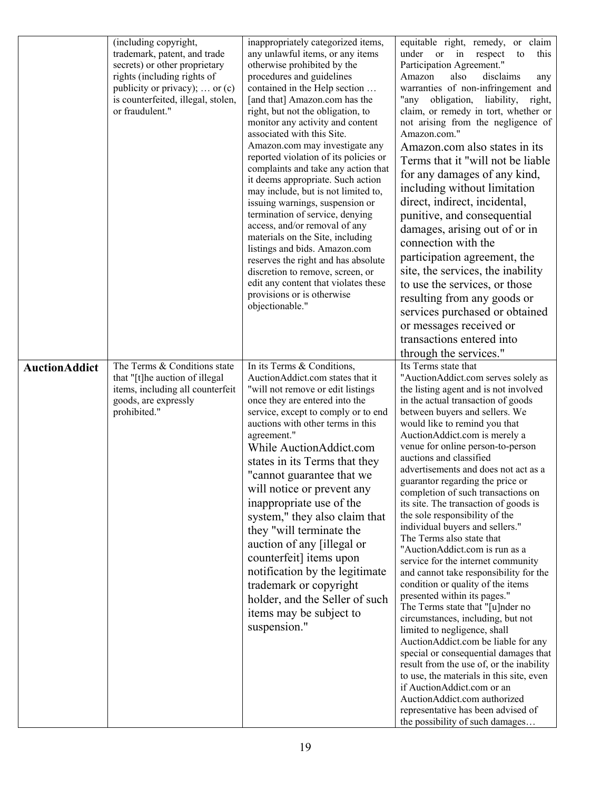|                      | (including copyright,<br>trademark, patent, and trade<br>secrets) or other proprietary<br>rights (including rights of<br>publicity or privacy);  or $(c)$<br>is counterfeited, illegal, stolen,<br>or fraudulent." | inappropriately categorized items,<br>any unlawful items, or any items<br>otherwise prohibited by the<br>procedures and guidelines<br>contained in the Help section<br>[and that] Amazon.com has the<br>right, but not the obligation, to<br>monitor any activity and content<br>associated with this Site.<br>Amazon.com may investigate any<br>reported violation of its policies or<br>complaints and take any action that<br>it deems appropriate. Such action<br>may include, but is not limited to,<br>issuing warnings, suspension or<br>termination of service, denying<br>access, and/or removal of any<br>materials on the Site, including<br>listings and bids. Amazon.com<br>reserves the right and has absolute<br>discretion to remove, screen, or<br>edit any content that violates these<br>provisions or is otherwise<br>objectionable." | equitable right, remedy, or claim<br>under or in respect<br>this<br>to<br>Participation Agreement."<br>Amazon<br>also<br>disclaims<br>any<br>warranties of non-infringement and<br>"any obligation, liability,<br>right,<br>claim, or remedy in tort, whether or<br>not arising from the negligence of<br>Amazon.com."<br>Amazon.com also states in its<br>Terms that it "will not be liable"<br>for any damages of any kind,<br>including without limitation<br>direct, indirect, incidental,<br>punitive, and consequential<br>damages, arising out of or in<br>connection with the<br>participation agreement, the<br>site, the services, the inability<br>to use the services, or those<br>resulting from any goods or<br>services purchased or obtained<br>or messages received or<br>transactions entered into<br>through the services."                                                                                                                                                                                                                                                                                                                                             |
|----------------------|--------------------------------------------------------------------------------------------------------------------------------------------------------------------------------------------------------------------|-----------------------------------------------------------------------------------------------------------------------------------------------------------------------------------------------------------------------------------------------------------------------------------------------------------------------------------------------------------------------------------------------------------------------------------------------------------------------------------------------------------------------------------------------------------------------------------------------------------------------------------------------------------------------------------------------------------------------------------------------------------------------------------------------------------------------------------------------------------|--------------------------------------------------------------------------------------------------------------------------------------------------------------------------------------------------------------------------------------------------------------------------------------------------------------------------------------------------------------------------------------------------------------------------------------------------------------------------------------------------------------------------------------------------------------------------------------------------------------------------------------------------------------------------------------------------------------------------------------------------------------------------------------------------------------------------------------------------------------------------------------------------------------------------------------------------------------------------------------------------------------------------------------------------------------------------------------------------------------------------------------------------------------------------------------------|
| <b>AuctionAddict</b> | The Terms & Conditions state<br>that "[t]he auction of illegal<br>items, including all counterfeit<br>goods, are expressly<br>prohibited."                                                                         | In its Terms & Conditions,<br>AuctionAddict.com states that it<br>"will not remove or edit listings<br>once they are entered into the<br>service, except to comply or to end<br>auctions with other terms in this<br>agreement."<br>While AuctionAddict.com<br>states in its Terms that they<br>"cannot guarantee that we<br>will notice or prevent any<br>inappropriate use of the<br>system," they also claim that<br>they "will terminate the<br>auction of any [illegal or<br>counterfeit] items upon<br>notification by the legitimate<br>trademark or copyright<br>holder, and the Seller of such<br>items may be subject to<br>suspension."                                                                                                                                                                                                        | Its Terms state that<br>"AuctionAddict.com serves solely as<br>the listing agent and is not involved<br>in the actual transaction of goods<br>between buyers and sellers. We<br>would like to remind you that<br>AuctionAddict.com is merely a<br>venue for online person-to-person<br>auctions and classified<br>advertisements and does not act as a<br>guarantor regarding the price or<br>completion of such transactions on<br>its site. The transaction of goods is<br>the sole responsibility of the<br>individual buyers and sellers."<br>The Terms also state that<br>"AuctionAddict.com is run as a<br>service for the internet community<br>and cannot take responsibility for the<br>condition or quality of the items<br>presented within its pages."<br>The Terms state that "[u]nder no<br>circumstances, including, but not<br>limited to negligence, shall<br>AuctionAddict.com be liable for any<br>special or consequential damages that<br>result from the use of, or the inability<br>to use, the materials in this site, even<br>if AuctionAddict.com or an<br>AuctionAddict.com authorized<br>representative has been advised of<br>the possibility of such damages |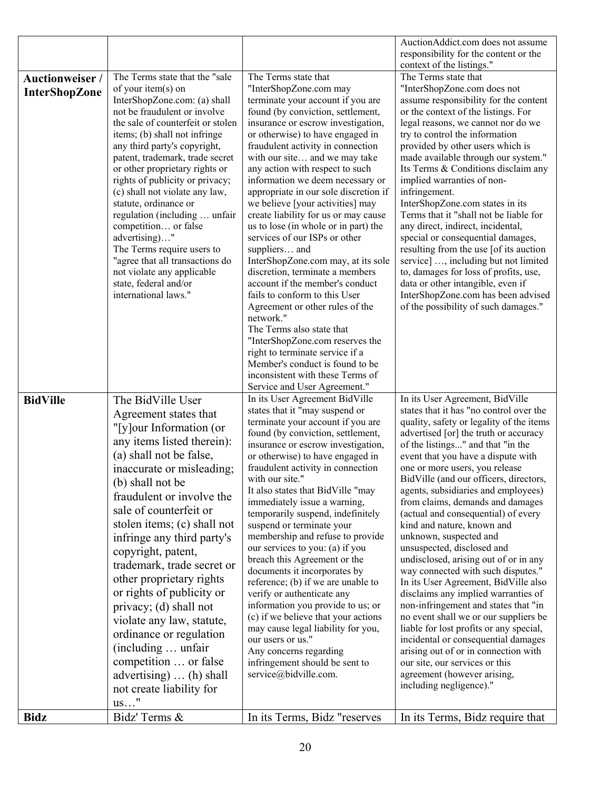|                        |                                                                   |                                                                          | AuctionAddict.com does not assume                                             |
|------------------------|-------------------------------------------------------------------|--------------------------------------------------------------------------|-------------------------------------------------------------------------------|
|                        |                                                                   |                                                                          | responsibility for the content or the                                         |
| <b>Auctionweiser /</b> | The Terms state that the "sale                                    | The Terms state that                                                     | context of the listings."<br>The Terms state that                             |
| <b>InterShopZone</b>   | of your item(s) on                                                | "InterShopZone.com may                                                   | "InterShopZone.com does not                                                   |
|                        | InterShopZone.com: (a) shall                                      | terminate your account if you are                                        | assume responsibility for the content                                         |
|                        | not be fraudulent or involve                                      | found (by conviction, settlement,                                        | or the context of the listings. For                                           |
|                        | the sale of counterfeit or stolen                                 | insurance or escrow investigation,                                       | legal reasons, we cannot nor do we                                            |
|                        | items; (b) shall not infringe                                     | or otherwise) to have engaged in                                         | try to control the information                                                |
|                        | any third party's copyright,                                      | fraudulent activity in connection                                        | provided by other users which is<br>made available through our system."       |
|                        | patent, trademark, trade secret<br>or other proprietary rights or | with our site and we may take<br>any action with respect to such         | Its Terms & Conditions disclaim any                                           |
|                        | rights of publicity or privacy;                                   | information we deem necessary or                                         | implied warranties of non-                                                    |
|                        | (c) shall not violate any law,                                    | appropriate in our sole discretion if                                    | infringement.                                                                 |
|                        | statute, ordinance or                                             | we believe [your activities] may                                         | InterShopZone.com states in its                                               |
|                        | regulation (including  unfair                                     | create liability for us or may cause                                     | Terms that it "shall not be liable for                                        |
|                        | competition or false                                              | us to lose (in whole or in part) the<br>services of our ISPs or other    | any direct, indirect, incidental,                                             |
|                        | advertising)"<br>The Terms require users to                       | suppliers and                                                            | special or consequential damages,<br>resulting from the use [of its auction   |
|                        | "agree that all transactions do                                   | InterShopZone.com may, at its sole                                       | service] , including but not limited                                          |
|                        | not violate any applicable                                        | discretion, terminate a members                                          | to, damages for loss of profits, use,                                         |
|                        | state, federal and/or                                             | account if the member's conduct                                          | data or other intangible, even if                                             |
|                        | international laws."                                              | fails to conform to this User                                            | InterShopZone.com has been advised                                            |
|                        |                                                                   | Agreement or other rules of the<br>network."                             | of the possibility of such damages."                                          |
|                        |                                                                   | The Terms also state that                                                |                                                                               |
|                        |                                                                   | "InterShopZone.com reserves the                                          |                                                                               |
|                        |                                                                   | right to terminate service if a                                          |                                                                               |
|                        |                                                                   | Member's conduct is found to be                                          |                                                                               |
|                        |                                                                   | inconsistent with these Terms of                                         |                                                                               |
| <b>BidVille</b>        | The BidVille User                                                 | Service and User Agreement."<br>In its User Agreement BidVille           | In its User Agreement, BidVille                                               |
|                        |                                                                   | states that it "may suspend or                                           | states that it has "no control over the                                       |
|                        | Agreement states that                                             | terminate your account if you are                                        | quality, safety or legality of the items                                      |
|                        | "[y]our Information (or<br>any items listed therein):             | found (by conviction, settlement,                                        | advertised [or] the truth or accuracy                                         |
|                        | (a) shall not be false,                                           | insurance or escrow investigation,                                       | of the listings" and that "in the                                             |
|                        |                                                                   | or otherwise) to have engaged in<br>fraudulent activity in connection    | event that you have a dispute with<br>one or more users, you release          |
|                        | inaccurate or misleading;                                         | with our site."                                                          | BidVille (and our officers, directors,                                        |
|                        | (b) shall not be                                                  | It also states that BidVille "may                                        | agents, subsidiaries and employees)                                           |
|                        | fraudulent or involve the                                         | immediately issue a warning,                                             | from claims, demands and damages                                              |
|                        | sale of counterfeit or                                            | temporarily suspend, indefinitely                                        | (actual and consequential) of every                                           |
|                        | stolen items; (c) shall not                                       | suspend or terminate your<br>membership and refuse to provide            | kind and nature, known and                                                    |
|                        | infringe any third party's                                        | our services to you: (a) if you                                          | unknown, suspected and<br>unsuspected, disclosed and                          |
|                        | copyright, patent,                                                | breach this Agreement or the                                             | undisclosed, arising out of or in any                                         |
|                        | trademark, trade secret or                                        | documents it incorporates by                                             | way connected with such disputes."                                            |
|                        | other proprietary rights                                          | reference; (b) if we are unable to                                       | In its User Agreement, BidVille also                                          |
|                        | or rights of publicity or                                         | verify or authenticate any                                               | disclaims any implied warranties of                                           |
|                        | privacy; (d) shall not                                            | information you provide to us; or<br>(c) if we believe that your actions | non-infringement and states that "in<br>no event shall we or our suppliers be |
|                        | violate any law, statute,                                         | may cause legal liability for you,                                       | liable for lost profits or any special,                                       |
|                        | ordinance or regulation                                           | our users or us."                                                        | incidental or consequential damages                                           |
|                        | (including  unfair                                                | Any concerns regarding                                                   | arising out of or in connection with                                          |
|                        | competition  or false                                             | infringement should be sent to                                           | our site, our services or this                                                |
|                        | advertising) $\dots$ (h) shall                                    | service@bidville.com.                                                    | agreement (however arising,                                                   |
|                        | not create liability for                                          |                                                                          | including negligence)."                                                       |
|                        | $us$ "                                                            |                                                                          |                                                                               |
| <b>Bidz</b>            | Bidz' Terms &                                                     | In its Terms, Bidz "reserves                                             | In its Terms, Bidz require that                                               |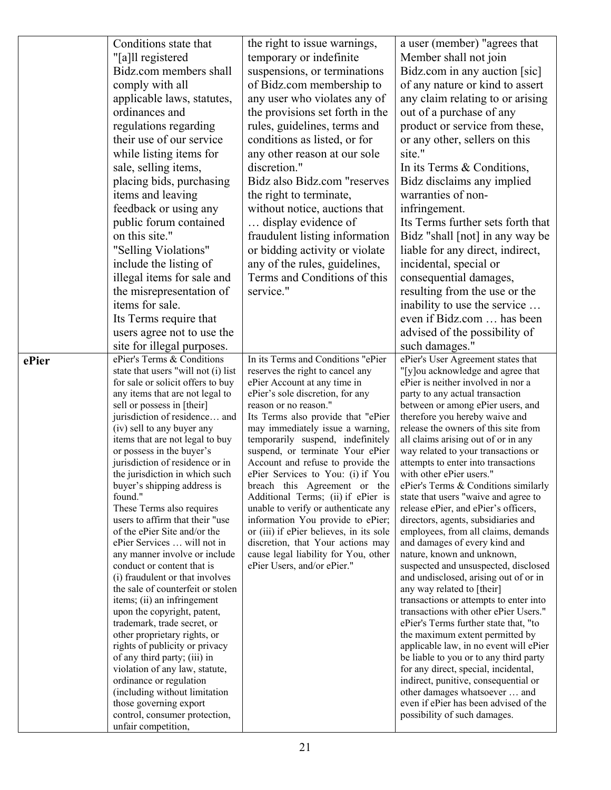|       | Conditions state that                                             | the right to issue warnings,                                                 | a user (member) "agrees that                                               |
|-------|-------------------------------------------------------------------|------------------------------------------------------------------------------|----------------------------------------------------------------------------|
|       | "[a]ll registered                                                 | temporary or indefinite                                                      | Member shall not join                                                      |
|       | Bidz.com members shall                                            | suspensions, or terminations                                                 | Bidz.com in any auction [sic]                                              |
|       | comply with all                                                   | of Bidz.com membership to                                                    | of any nature or kind to assert                                            |
|       | applicable laws, statutes,                                        | any user who violates any of                                                 | any claim relating to or arising                                           |
|       | ordinances and                                                    | the provisions set forth in the                                              | out of a purchase of any                                                   |
|       | regulations regarding                                             | rules, guidelines, terms and                                                 | product or service from these,                                             |
|       | their use of our service                                          | conditions as listed, or for                                                 | or any other, sellers on this                                              |
|       | while listing items for                                           | any other reason at our sole                                                 | site."                                                                     |
|       | sale, selling items,                                              | discretion."                                                                 | In its Terms $&$ Conditions,                                               |
|       | placing bids, purchasing                                          | Bidz also Bidz.com "reserves                                                 | Bidz disclaims any implied                                                 |
|       | items and leaving                                                 | the right to terminate,                                                      | warranties of non-                                                         |
|       | feedback or using any                                             | without notice, auctions that                                                | infringement.                                                              |
|       | public forum contained                                            | display evidence of                                                          | Its Terms further sets forth that                                          |
|       | on this site."                                                    | fraudulent listing information                                               | Bidz "shall [not] in any way be                                            |
|       | "Selling Violations"                                              |                                                                              | liable for any direct, indirect,                                           |
|       | include the listing of                                            | or bidding activity or violate                                               |                                                                            |
|       |                                                                   | any of the rules, guidelines,<br>Terms and Conditions of this                | incidental, special or                                                     |
|       | illegal items for sale and                                        |                                                                              | consequential damages,                                                     |
|       | the misrepresentation of                                          | service."                                                                    | resulting from the use or the                                              |
|       | items for sale.                                                   |                                                                              | inability to use the service                                               |
|       | Its Terms require that                                            |                                                                              | even if Bidz.com  has been                                                 |
|       | users agree not to use the                                        |                                                                              | advised of the possibility of                                              |
|       | site for illegal purposes.                                        |                                                                              | such damages."                                                             |
| ePier | ePier's Terms & Conditions<br>state that users "will not (i) list | In its Terms and Conditions "ePier<br>reserves the right to cancel any       | ePier's User Agreement states that<br>"[y]ou acknowledge and agree that    |
|       | for sale or solicit offers to buy                                 | ePier Account at any time in                                                 | ePier is neither involved in nor a                                         |
|       | any items that are not legal to                                   | ePier's sole discretion, for any                                             | party to any actual transaction                                            |
|       | sell or possess in [their]                                        | reason or no reason."                                                        | between or among ePier users, and                                          |
|       | jurisdiction of residence and                                     | Its Terms also provide that "ePier                                           | therefore you hereby waive and                                             |
|       | (iv) sell to any buyer any                                        | may immediately issue a warning,                                             | release the owners of this site from                                       |
|       | items that are not legal to buy<br>or possess in the buyer's      | temporarily suspend, indefinitely<br>suspend, or terminate Your ePier        | all claims arising out of or in any<br>way related to your transactions or |
|       | jurisdiction of residence or in                                   | Account and refuse to provide the                                            | attempts to enter into transactions                                        |
|       | the jurisdiction in which such                                    | ePier Services to You: (i) if You                                            | with other ePier users."                                                   |
|       | buyer's shipping address is                                       | breach this Agreement or the                                                 | ePier's Terms & Conditions similarly                                       |
|       | found."                                                           | Additional Terms; (ii) if ePier is                                           | state that users "waive and agree to                                       |
|       | These Terms also requires                                         | unable to verify or authenticate any                                         | release ePier, and ePier's officers,                                       |
|       | users to affirm that their "use<br>of the ePier Site and/or the   | information You provide to ePier;<br>or (iii) if ePier believes, in its sole | directors, agents, subsidiaries and<br>employees, from all claims, demands |
|       | ePier Services  will not in                                       | discretion, that Your actions may                                            | and damages of every kind and                                              |
|       | any manner involve or include                                     | cause legal liability for You, other                                         | nature, known and unknown,                                                 |
|       | conduct or content that is                                        | ePier Users, and/or ePier."                                                  | suspected and unsuspected, disclosed                                       |
|       | (i) fraudulent or that involves                                   |                                                                              | and undisclosed, arising out of or in                                      |
|       | the sale of counterfeit or stolen                                 |                                                                              | any way related to [their]<br>transactions or attempts to enter into       |
|       | items; (ii) an infringement<br>upon the copyright, patent,        |                                                                              | transactions with other ePier Users."                                      |
|       | trademark, trade secret, or                                       |                                                                              | ePier's Terms further state that, "to                                      |
|       | other proprietary rights, or                                      |                                                                              | the maximum extent permitted by                                            |
|       | rights of publicity or privacy                                    |                                                                              | applicable law, in no event will ePier                                     |
|       | of any third party; (iii) in                                      |                                                                              | be liable to you or to any third party                                     |
|       | violation of any law, statute,                                    |                                                                              | for any direct, special, incidental,                                       |
|       | ordinance or regulation<br>(including without limitation          |                                                                              | indirect, punitive, consequential or<br>other damages whatsoever  and      |
|       | those governing export                                            |                                                                              | even if ePier has been advised of the                                      |
|       | control, consumer protection,                                     |                                                                              | possibility of such damages.                                               |
|       | unfair competition,                                               |                                                                              |                                                                            |